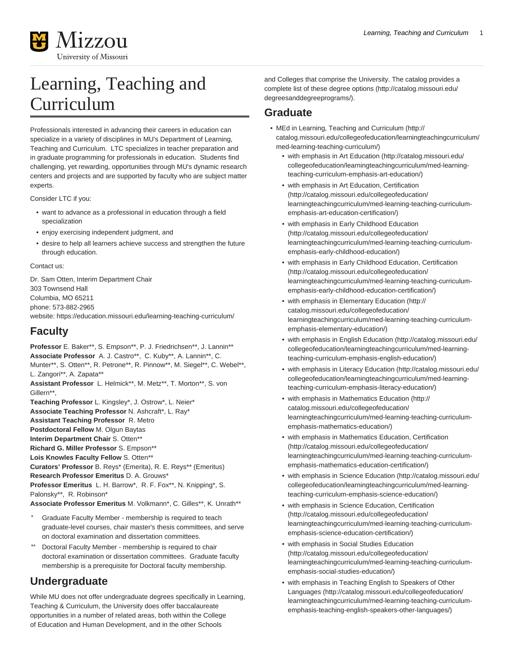

# Learning, Teaching and Curriculum

Professionals interested in advancing their careers in education can specialize in a variety of disciplines in MU's Department of Learning, Teaching and Curriculum. LTC specializes in teacher preparation and in graduate programming for professionals in education. Students find challenging, yet rewarding, opportunities through MU's dynamic research centers and projects and are supported by faculty who are subject matter experts.

Consider LTC if you:

- want to advance as a professional in education through a field specialization
- enjoy exercising independent judgment, and
- desire to help all learners achieve success and strengthen the future through education.

# Contact us:

Dr. Sam Otten, Interim Department Chair 303 Townsend Hall Columbia, MO 65211 phone: 573-882-2965 website: <https://education.missouri.edu/learning-teaching-curriculum/>

# **Faculty**

**Professor** E. Baker\*\*, S. Empson\*\*, P. J. Friedrichsen\*\*, J. Lannin\*\* **Associate Professor** A. J. Castro\*\*, C. Kuby\*\*, A. Lannin\*\*, C. Munter\*\*, S. Otten\*\*, R. Petrone\*\*, R. Pinnow\*\*, M. Siegel\*\*, C. Webel\*\*, L. Zangori\*\*, A. Zapata\*\* **Assistant Professor** L. Helmick\*\*, M. Metz\*\*, T. Morton\*\*, S. von Gillern\*\*, **Teaching Professor** L. Kingsley\*, J. Ostrow\*, L. Neier\* **Associate Teaching Professor** N. Ashcraft\*, L. Ray\* **Assistant Teaching Professor** R. Metro **Postdoctoral Fellow** M. Olgun Baytas **Interim Department Chair** S. Otten\*\* **Richard G. Miller Professor** S. Empson\*\* **Lois Knowles Faculty Fellow** S. Otten\*\* **Curators' Professor** B. Reys\* (Emerita), R. E. Reys\*\* (Emeritus) **Research Professor Emeritus** D. A. Grouws\* **Professor Emeritus** L. H. Barrow\*, R. F. Fox\*\*, N. Knipping\*, S. Palonsky\*\*, R. Robinson\* **Associate Professor Emeritus** M. Volkmann\*, C. Gilles\*\*, K. Unrath\*\* Graduate Faculty Member - membership is required to teach graduate-level courses, chair master's thesis committees, and serve on doctoral examination and dissertation committees.

Doctoral Faculty Member - membership is required to chair doctoral examination or dissertation committees. Graduate faculty membership is a prerequisite for Doctoral faculty membership.

# **Undergraduate**

While MU does not offer undergraduate degrees specifically in Learning, Teaching & Curriculum, the University does offer baccalaureate opportunities in a number of related areas, both within the College of Education and Human Development, and in the other Schools

and Colleges that comprise the University. The catalog provides a [complete list of these degree options](http://catalog.missouri.edu/degreesanddegreeprograms/) [\(http://catalog.missouri.edu/](http://catalog.missouri.edu/degreesanddegreeprograms/) [degreesanddegreeprograms/](http://catalog.missouri.edu/degreesanddegreeprograms/)).

# **Graduate**

- [MEd in Learning, Teaching and Curriculum](http://catalog.missouri.edu/collegeofeducation/learningteachingcurriculum/med-learning-teaching-curriculum/) ([http://](http://catalog.missouri.edu/collegeofeducation/learningteachingcurriculum/med-learning-teaching-curriculum/) [catalog.missouri.edu/collegeofeducation/learningteachingcurriculum/](http://catalog.missouri.edu/collegeofeducation/learningteachingcurriculum/med-learning-teaching-curriculum/) [med-learning-teaching-curriculum/](http://catalog.missouri.edu/collegeofeducation/learningteachingcurriculum/med-learning-teaching-curriculum/))
	- [with emphasis in Art Education](http://catalog.missouri.edu/collegeofeducation/learningteachingcurriculum/med-learning-teaching-curriculum-emphasis-art-education/) [\(http://catalog.missouri.edu/](http://catalog.missouri.edu/collegeofeducation/learningteachingcurriculum/med-learning-teaching-curriculum-emphasis-art-education/) [collegeofeducation/learningteachingcurriculum/med-learning](http://catalog.missouri.edu/collegeofeducation/learningteachingcurriculum/med-learning-teaching-curriculum-emphasis-art-education/)[teaching-curriculum-emphasis-art-education/](http://catalog.missouri.edu/collegeofeducation/learningteachingcurriculum/med-learning-teaching-curriculum-emphasis-art-education/))
	- [with emphasis in Art Education, Certification](http://catalog.missouri.edu/collegeofeducation/learningteachingcurriculum/med-learning-teaching-curriculum-emphasis-art-education-certification/) ([http://catalog.missouri.edu/collegeofeducation/](http://catalog.missouri.edu/collegeofeducation/learningteachingcurriculum/med-learning-teaching-curriculum-emphasis-art-education-certification/) [learningteachingcurriculum/med-learning-teaching-curriculum](http://catalog.missouri.edu/collegeofeducation/learningteachingcurriculum/med-learning-teaching-curriculum-emphasis-art-education-certification/)[emphasis-art-education-certification/\)](http://catalog.missouri.edu/collegeofeducation/learningteachingcurriculum/med-learning-teaching-curriculum-emphasis-art-education-certification/)
	- [with emphasis in Early Childhood Education](http://catalog.missouri.edu/collegeofeducation/learningteachingcurriculum/med-learning-teaching-curriculum-emphasis-early-childhood-education/) ([http://catalog.missouri.edu/collegeofeducation/](http://catalog.missouri.edu/collegeofeducation/learningteachingcurriculum/med-learning-teaching-curriculum-emphasis-early-childhood-education/) [learningteachingcurriculum/med-learning-teaching-curriculum](http://catalog.missouri.edu/collegeofeducation/learningteachingcurriculum/med-learning-teaching-curriculum-emphasis-early-childhood-education/)[emphasis-early-childhood-education/\)](http://catalog.missouri.edu/collegeofeducation/learningteachingcurriculum/med-learning-teaching-curriculum-emphasis-early-childhood-education/)
	- [with emphasis in Early Childhood Education, Certification](http://catalog.missouri.edu/collegeofeducation/learningteachingcurriculum/med-learning-teaching-curriculum-emphasis-early-childhood-education-certification/) ([http://catalog.missouri.edu/collegeofeducation/](http://catalog.missouri.edu/collegeofeducation/learningteachingcurriculum/med-learning-teaching-curriculum-emphasis-early-childhood-education-certification/) [learningteachingcurriculum/med-learning-teaching-curriculum](http://catalog.missouri.edu/collegeofeducation/learningteachingcurriculum/med-learning-teaching-curriculum-emphasis-early-childhood-education-certification/)[emphasis-early-childhood-education-certification/\)](http://catalog.missouri.edu/collegeofeducation/learningteachingcurriculum/med-learning-teaching-curriculum-emphasis-early-childhood-education-certification/)
	- [with emphasis in Elementary Education \(http://](http://catalog.missouri.edu/collegeofeducation/learningteachingcurriculum/med-learning-teaching-curriculum-emphasis-elementary-education/) [catalog.missouri.edu/collegeofeducation/](http://catalog.missouri.edu/collegeofeducation/learningteachingcurriculum/med-learning-teaching-curriculum-emphasis-elementary-education/) [learningteachingcurriculum/med-learning-teaching-curriculum](http://catalog.missouri.edu/collegeofeducation/learningteachingcurriculum/med-learning-teaching-curriculum-emphasis-elementary-education/)[emphasis-elementary-education/](http://catalog.missouri.edu/collegeofeducation/learningteachingcurriculum/med-learning-teaching-curriculum-emphasis-elementary-education/))
	- [with emphasis in English Education](http://catalog.missouri.edu/collegeofeducation/learningteachingcurriculum/med-learning-teaching-curriculum-emphasis-english-education/) [\(http://catalog.missouri.edu/](http://catalog.missouri.edu/collegeofeducation/learningteachingcurriculum/med-learning-teaching-curriculum-emphasis-english-education/) [collegeofeducation/learningteachingcurriculum/med-learning](http://catalog.missouri.edu/collegeofeducation/learningteachingcurriculum/med-learning-teaching-curriculum-emphasis-english-education/)[teaching-curriculum-emphasis-english-education/](http://catalog.missouri.edu/collegeofeducation/learningteachingcurriculum/med-learning-teaching-curriculum-emphasis-english-education/))
	- [with emphasis in Literacy Education](http://catalog.missouri.edu/collegeofeducation/learningteachingcurriculum/med-learning-teaching-curriculum-emphasis-literacy-education/) [\(http://catalog.missouri.edu/](http://catalog.missouri.edu/collegeofeducation/learningteachingcurriculum/med-learning-teaching-curriculum-emphasis-literacy-education/) [collegeofeducation/learningteachingcurriculum/med-learning](http://catalog.missouri.edu/collegeofeducation/learningteachingcurriculum/med-learning-teaching-curriculum-emphasis-literacy-education/)[teaching-curriculum-emphasis-literacy-education/](http://catalog.missouri.edu/collegeofeducation/learningteachingcurriculum/med-learning-teaching-curriculum-emphasis-literacy-education/))
	- [with emphasis in Mathematics Education](http://catalog.missouri.edu/collegeofeducation/learningteachingcurriculum/med-learning-teaching-curriculum-emphasis-mathematics-education/) [\(http://](http://catalog.missouri.edu/collegeofeducation/learningteachingcurriculum/med-learning-teaching-curriculum-emphasis-mathematics-education/) [catalog.missouri.edu/collegeofeducation/](http://catalog.missouri.edu/collegeofeducation/learningteachingcurriculum/med-learning-teaching-curriculum-emphasis-mathematics-education/) [learningteachingcurriculum/med-learning-teaching-curriculum](http://catalog.missouri.edu/collegeofeducation/learningteachingcurriculum/med-learning-teaching-curriculum-emphasis-mathematics-education/)[emphasis-mathematics-education/\)](http://catalog.missouri.edu/collegeofeducation/learningteachingcurriculum/med-learning-teaching-curriculum-emphasis-mathematics-education/)
	- [with emphasis in Mathematics Education, Certification](http://catalog.missouri.edu/collegeofeducation/learningteachingcurriculum/med-learning-teaching-curriculum-emphasis-mathematics-education-certification/) ([http://catalog.missouri.edu/collegeofeducation/](http://catalog.missouri.edu/collegeofeducation/learningteachingcurriculum/med-learning-teaching-curriculum-emphasis-mathematics-education-certification/) [learningteachingcurriculum/med-learning-teaching-curriculum](http://catalog.missouri.edu/collegeofeducation/learningteachingcurriculum/med-learning-teaching-curriculum-emphasis-mathematics-education-certification/)[emphasis-mathematics-education-certification/\)](http://catalog.missouri.edu/collegeofeducation/learningteachingcurriculum/med-learning-teaching-curriculum-emphasis-mathematics-education-certification/)
	- [with emphasis in Science Education \(http://catalog.missouri.edu/](http://catalog.missouri.edu/collegeofeducation/learningteachingcurriculum/med-learning-teaching-curriculum-emphasis-science-education/) [collegeofeducation/learningteachingcurriculum/med-learning](http://catalog.missouri.edu/collegeofeducation/learningteachingcurriculum/med-learning-teaching-curriculum-emphasis-science-education/)[teaching-curriculum-emphasis-science-education/](http://catalog.missouri.edu/collegeofeducation/learningteachingcurriculum/med-learning-teaching-curriculum-emphasis-science-education/))
	- [with emphasis in Science Education, Certification](http://catalog.missouri.edu/collegeofeducation/learningteachingcurriculum/med-learning-teaching-curriculum-emphasis-science-education-certification/) ([http://catalog.missouri.edu/collegeofeducation/](http://catalog.missouri.edu/collegeofeducation/learningteachingcurriculum/med-learning-teaching-curriculum-emphasis-science-education-certification/) [learningteachingcurriculum/med-learning-teaching-curriculum](http://catalog.missouri.edu/collegeofeducation/learningteachingcurriculum/med-learning-teaching-curriculum-emphasis-science-education-certification/)[emphasis-science-education-certification/\)](http://catalog.missouri.edu/collegeofeducation/learningteachingcurriculum/med-learning-teaching-curriculum-emphasis-science-education-certification/)
	- [with emphasis in Social Studies Education](http://catalog.missouri.edu/collegeofeducation/learningteachingcurriculum/med-learning-teaching-curriculum-emphasis-social-studies-education/) ([http://catalog.missouri.edu/collegeofeducation/](http://catalog.missouri.edu/collegeofeducation/learningteachingcurriculum/med-learning-teaching-curriculum-emphasis-social-studies-education/) [learningteachingcurriculum/med-learning-teaching-curriculum](http://catalog.missouri.edu/collegeofeducation/learningteachingcurriculum/med-learning-teaching-curriculum-emphasis-social-studies-education/)[emphasis-social-studies-education/\)](http://catalog.missouri.edu/collegeofeducation/learningteachingcurriculum/med-learning-teaching-curriculum-emphasis-social-studies-education/)
	- [with emphasis in Teaching English to Speakers of Other](http://catalog.missouri.edu/collegeofeducation/learningteachingcurriculum/med-learning-teaching-curriculum-emphasis-teaching-english-speakers-other-languages/) [Languages \(http://catalog.missouri.edu/collegeofeducation/](http://catalog.missouri.edu/collegeofeducation/learningteachingcurriculum/med-learning-teaching-curriculum-emphasis-teaching-english-speakers-other-languages/) [learningteachingcurriculum/med-learning-teaching-curriculum](http://catalog.missouri.edu/collegeofeducation/learningteachingcurriculum/med-learning-teaching-curriculum-emphasis-teaching-english-speakers-other-languages/)[emphasis-teaching-english-speakers-other-languages/\)](http://catalog.missouri.edu/collegeofeducation/learningteachingcurriculum/med-learning-teaching-curriculum-emphasis-teaching-english-speakers-other-languages/)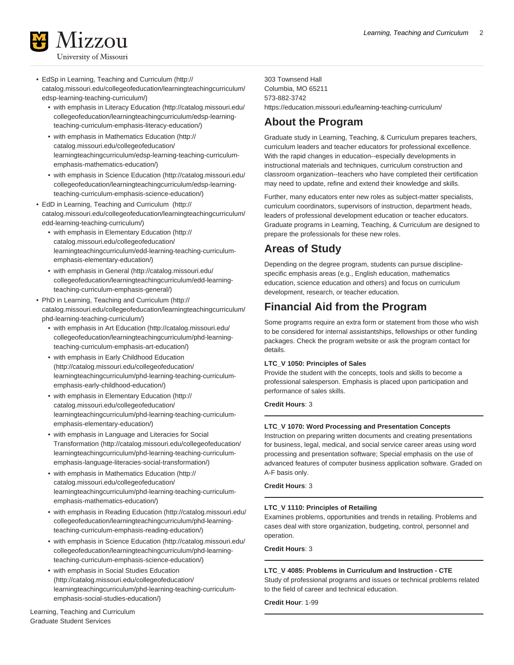

- [EdSp in Learning, Teaching and Curriculum](http://catalog.missouri.edu/collegeofeducation/learningteachingcurriculum/edsp-learning-teaching-curriculum/) [\(http://](http://catalog.missouri.edu/collegeofeducation/learningteachingcurriculum/edsp-learning-teaching-curriculum/) [catalog.missouri.edu/collegeofeducation/learningteachingcurriculum/](http://catalog.missouri.edu/collegeofeducation/learningteachingcurriculum/edsp-learning-teaching-curriculum/) [edsp-learning-teaching-curriculum/](http://catalog.missouri.edu/collegeofeducation/learningteachingcurriculum/edsp-learning-teaching-curriculum/))
	- [with emphasis in Literacy Education](http://catalog.missouri.edu/collegeofeducation/learningteachingcurriculum/edsp-learning-teaching-curriculum-emphasis-literacy-education/) [\(http://catalog.missouri.edu/](http://catalog.missouri.edu/collegeofeducation/learningteachingcurriculum/edsp-learning-teaching-curriculum-emphasis-literacy-education/) [collegeofeducation/learningteachingcurriculum/edsp-learning](http://catalog.missouri.edu/collegeofeducation/learningteachingcurriculum/edsp-learning-teaching-curriculum-emphasis-literacy-education/)[teaching-curriculum-emphasis-literacy-education/](http://catalog.missouri.edu/collegeofeducation/learningteachingcurriculum/edsp-learning-teaching-curriculum-emphasis-literacy-education/))
	- [with emphasis in Mathematics Education](http://catalog.missouri.edu/collegeofeducation/learningteachingcurriculum/edsp-learning-teaching-curriculum-emphasis-mathematics-education/) [\(http://](http://catalog.missouri.edu/collegeofeducation/learningteachingcurriculum/edsp-learning-teaching-curriculum-emphasis-mathematics-education/) [catalog.missouri.edu/collegeofeducation/](http://catalog.missouri.edu/collegeofeducation/learningteachingcurriculum/edsp-learning-teaching-curriculum-emphasis-mathematics-education/) [learningteachingcurriculum/edsp-learning-teaching-curriculum](http://catalog.missouri.edu/collegeofeducation/learningteachingcurriculum/edsp-learning-teaching-curriculum-emphasis-mathematics-education/)[emphasis-mathematics-education/\)](http://catalog.missouri.edu/collegeofeducation/learningteachingcurriculum/edsp-learning-teaching-curriculum-emphasis-mathematics-education/)
	- [with emphasis in Science Education \(http://catalog.missouri.edu/](http://catalog.missouri.edu/collegeofeducation/learningteachingcurriculum/edsp-learning-teaching-curriculum-emphasis-science-education/) [collegeofeducation/learningteachingcurriculum/edsp-learning](http://catalog.missouri.edu/collegeofeducation/learningteachingcurriculum/edsp-learning-teaching-curriculum-emphasis-science-education/)[teaching-curriculum-emphasis-science-education/](http://catalog.missouri.edu/collegeofeducation/learningteachingcurriculum/edsp-learning-teaching-curriculum-emphasis-science-education/))
- [EdD in Learning, Teaching and Curriculum \(http://](http://catalog.missouri.edu/collegeofeducation/learningteachingcurriculum/edd-learning-teaching-curriculum/) [catalog.missouri.edu/collegeofeducation/learningteachingcurriculum/](http://catalog.missouri.edu/collegeofeducation/learningteachingcurriculum/edd-learning-teaching-curriculum/) [edd-learning-teaching-curriculum/](http://catalog.missouri.edu/collegeofeducation/learningteachingcurriculum/edd-learning-teaching-curriculum/))
	- [with emphasis in Elementary Education \(http://](http://catalog.missouri.edu/collegeofeducation/learningteachingcurriculum/edd-learning-teaching-curriculum-emphasis-elementary-education/) [catalog.missouri.edu/collegeofeducation/](http://catalog.missouri.edu/collegeofeducation/learningteachingcurriculum/edd-learning-teaching-curriculum-emphasis-elementary-education/) [learningteachingcurriculum/edd-learning-teaching-curriculum](http://catalog.missouri.edu/collegeofeducation/learningteachingcurriculum/edd-learning-teaching-curriculum-emphasis-elementary-education/)[emphasis-elementary-education/](http://catalog.missouri.edu/collegeofeducation/learningteachingcurriculum/edd-learning-teaching-curriculum-emphasis-elementary-education/))
	- [with emphasis in General](http://catalog.missouri.edu/collegeofeducation/learningteachingcurriculum/edd-learning-teaching-curriculum-emphasis-general/) ([http://catalog.missouri.edu/](http://catalog.missouri.edu/collegeofeducation/learningteachingcurriculum/edd-learning-teaching-curriculum-emphasis-general/) [collegeofeducation/learningteachingcurriculum/edd-learning](http://catalog.missouri.edu/collegeofeducation/learningteachingcurriculum/edd-learning-teaching-curriculum-emphasis-general/)[teaching-curriculum-emphasis-general/](http://catalog.missouri.edu/collegeofeducation/learningteachingcurriculum/edd-learning-teaching-curriculum-emphasis-general/))
- [PhD in Learning, Teaching and Curriculum](http://catalog.missouri.edu/collegeofeducation/learningteachingcurriculum/phd-learning-teaching-curriculum/) [\(http://](http://catalog.missouri.edu/collegeofeducation/learningteachingcurriculum/phd-learning-teaching-curriculum/) [catalog.missouri.edu/collegeofeducation/learningteachingcurriculum/](http://catalog.missouri.edu/collegeofeducation/learningteachingcurriculum/phd-learning-teaching-curriculum/) [phd-learning-teaching-curriculum/](http://catalog.missouri.edu/collegeofeducation/learningteachingcurriculum/phd-learning-teaching-curriculum/))
	- [with emphasis in Art Education](http://catalog.missouri.edu/collegeofeducation/learningteachingcurriculum/phd-learning-teaching-curriculum-emphasis-art-education/) [\(http://catalog.missouri.edu/](http://catalog.missouri.edu/collegeofeducation/learningteachingcurriculum/phd-learning-teaching-curriculum-emphasis-art-education/) [collegeofeducation/learningteachingcurriculum/phd-learning](http://catalog.missouri.edu/collegeofeducation/learningteachingcurriculum/phd-learning-teaching-curriculum-emphasis-art-education/)[teaching-curriculum-emphasis-art-education/](http://catalog.missouri.edu/collegeofeducation/learningteachingcurriculum/phd-learning-teaching-curriculum-emphasis-art-education/))
	- [with emphasis in Early Childhood Education](http://catalog.missouri.edu/collegeofeducation/learningteachingcurriculum/phd-learning-teaching-curriculum-emphasis-early-childhood-education/) ([http://catalog.missouri.edu/collegeofeducation/](http://catalog.missouri.edu/collegeofeducation/learningteachingcurriculum/phd-learning-teaching-curriculum-emphasis-early-childhood-education/) [learningteachingcurriculum/phd-learning-teaching-curriculum](http://catalog.missouri.edu/collegeofeducation/learningteachingcurriculum/phd-learning-teaching-curriculum-emphasis-early-childhood-education/)[emphasis-early-childhood-education/\)](http://catalog.missouri.edu/collegeofeducation/learningteachingcurriculum/phd-learning-teaching-curriculum-emphasis-early-childhood-education/)
	- [with emphasis in Elementary Education \(http://](http://catalog.missouri.edu/collegeofeducation/learningteachingcurriculum/phd-learning-teaching-curriculum-emphasis-elementary-education/) [catalog.missouri.edu/collegeofeducation/](http://catalog.missouri.edu/collegeofeducation/learningteachingcurriculum/phd-learning-teaching-curriculum-emphasis-elementary-education/) [learningteachingcurriculum/phd-learning-teaching-curriculum](http://catalog.missouri.edu/collegeofeducation/learningteachingcurriculum/phd-learning-teaching-curriculum-emphasis-elementary-education/)[emphasis-elementary-education/](http://catalog.missouri.edu/collegeofeducation/learningteachingcurriculum/phd-learning-teaching-curriculum-emphasis-elementary-education/))
	- [with emphasis in Language and Literacies for Social](http://catalog.missouri.edu/collegeofeducation/learningteachingcurriculum/phd-learning-teaching-curriculum-emphasis-language-literacies-social-transformation/) [Transformation](http://catalog.missouri.edu/collegeofeducation/learningteachingcurriculum/phd-learning-teaching-curriculum-emphasis-language-literacies-social-transformation/) ([http://catalog.missouri.edu/collegeofeducation/](http://catalog.missouri.edu/collegeofeducation/learningteachingcurriculum/phd-learning-teaching-curriculum-emphasis-language-literacies-social-transformation/) [learningteachingcurriculum/phd-learning-teaching-curriculum](http://catalog.missouri.edu/collegeofeducation/learningteachingcurriculum/phd-learning-teaching-curriculum-emphasis-language-literacies-social-transformation/)[emphasis-language-literacies-social-transformation/](http://catalog.missouri.edu/collegeofeducation/learningteachingcurriculum/phd-learning-teaching-curriculum-emphasis-language-literacies-social-transformation/))
	- [with emphasis in Mathematics Education](http://catalog.missouri.edu/collegeofeducation/learningteachingcurriculum/phd-learning-teaching-curriculum-emphasis-mathematics-education/) [\(http://](http://catalog.missouri.edu/collegeofeducation/learningteachingcurriculum/phd-learning-teaching-curriculum-emphasis-mathematics-education/) [catalog.missouri.edu/collegeofeducation/](http://catalog.missouri.edu/collegeofeducation/learningteachingcurriculum/phd-learning-teaching-curriculum-emphasis-mathematics-education/) [learningteachingcurriculum/phd-learning-teaching-curriculum](http://catalog.missouri.edu/collegeofeducation/learningteachingcurriculum/phd-learning-teaching-curriculum-emphasis-mathematics-education/)[emphasis-mathematics-education/\)](http://catalog.missouri.edu/collegeofeducation/learningteachingcurriculum/phd-learning-teaching-curriculum-emphasis-mathematics-education/)
	- [with emphasis in Reading Education](http://catalog.missouri.edu/collegeofeducation/learningteachingcurriculum/phd-learning-teaching-curriculum-emphasis-reading-education/) ([http://catalog.missouri.edu/](http://catalog.missouri.edu/collegeofeducation/learningteachingcurriculum/phd-learning-teaching-curriculum-emphasis-reading-education/) [collegeofeducation/learningteachingcurriculum/phd-learning](http://catalog.missouri.edu/collegeofeducation/learningteachingcurriculum/phd-learning-teaching-curriculum-emphasis-reading-education/)[teaching-curriculum-emphasis-reading-education/\)](http://catalog.missouri.edu/collegeofeducation/learningteachingcurriculum/phd-learning-teaching-curriculum-emphasis-reading-education/)
	- [with emphasis in Science Education \(http://catalog.missouri.edu/](http://catalog.missouri.edu/collegeofeducation/learningteachingcurriculum/phd-learning-teaching-curriculum-emphasis-science-education/) [collegeofeducation/learningteachingcurriculum/phd-learning](http://catalog.missouri.edu/collegeofeducation/learningteachingcurriculum/phd-learning-teaching-curriculum-emphasis-science-education/)[teaching-curriculum-emphasis-science-education/](http://catalog.missouri.edu/collegeofeducation/learningteachingcurriculum/phd-learning-teaching-curriculum-emphasis-science-education/))
	- [with emphasis in Social Studies Education](http://catalog.missouri.edu/collegeofeducation/learningteachingcurriculum/phd-learning-teaching-curriculum-emphasis-social-studies-education/) ([http://catalog.missouri.edu/collegeofeducation/](http://catalog.missouri.edu/collegeofeducation/learningteachingcurriculum/phd-learning-teaching-curriculum-emphasis-social-studies-education/) [learningteachingcurriculum/phd-learning-teaching-curriculum](http://catalog.missouri.edu/collegeofeducation/learningteachingcurriculum/phd-learning-teaching-curriculum-emphasis-social-studies-education/)[emphasis-social-studies-education/\)](http://catalog.missouri.edu/collegeofeducation/learningteachingcurriculum/phd-learning-teaching-curriculum-emphasis-social-studies-education/)

Learning, Teaching and Curriculum Graduate Student Services

303 Townsend Hall Columbia, MO 65211 573-882-3742 <https://education.missouri.edu/learning-teaching-curriculum/>

# **About the Program**

Graduate study in Learning, Teaching, & Curriculum prepares teachers, curriculum leaders and teacher educators for professional excellence. With the rapid changes in education--especially developments in instructional materials and techniques, curriculum construction and classroom organization--teachers who have completed their certification may need to update, refine and extend their knowledge and skills.

Further, many educators enter new roles as subject-matter specialists, curriculum coordinators, supervisors of instruction, department heads, leaders of professional development education or teacher educators. Graduate programs in Learning, Teaching, & Curriculum are designed to prepare the professionals for these new roles.

# **Areas of Study**

Depending on the degree program, students can pursue disciplinespecific emphasis areas (e.g., English education, mathematics education, science education and others) and focus on curriculum development, research, or teacher education.

# **Financial Aid from the Program**

Some programs require an extra form or statement from those who wish to be considered for internal assistantships, fellowships or other funding packages. Check the program website or ask the program contact for details.

# **LTC\_V 1050: Principles of Sales**

Provide the student with the concepts, tools and skills to become a professional salesperson. Emphasis is placed upon participation and performance of sales skills.

# **Credit Hours**: 3

# **LTC\_V 1070: Word Processing and Presentation Concepts**

Instruction on preparing written documents and creating presentations for business, legal, medical, and social service career areas using word processing and presentation software; Special emphasis on the use of advanced features of computer business application software. Graded on A-F basis only.

# **Credit Hours**: 3

# **LTC\_V 1110: Principles of Retailing**

Examines problems, opportunities and trends in retailing. Problems and cases deal with store organization, budgeting, control, personnel and operation.

# **Credit Hours**: 3

# **LTC\_V 4085: Problems in Curriculum and Instruction - CTE**

Study of professional programs and issues or technical problems related to the field of career and technical education.

**Credit Hour**: 1-99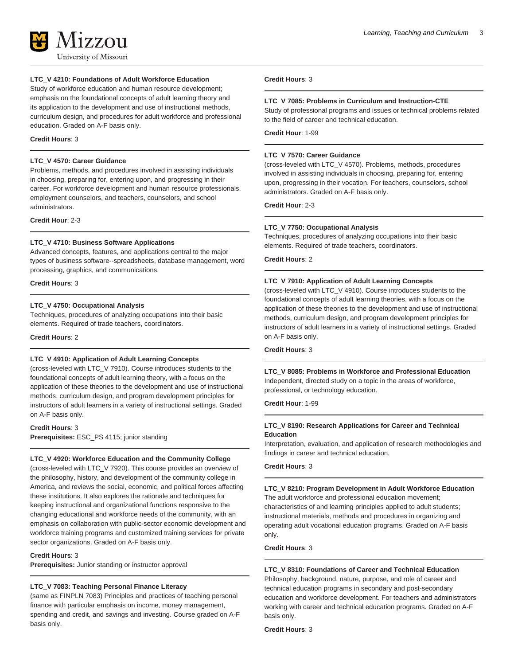# **LTC\_V 4210: Foundations of Adult Workforce Education**

Study of workforce education and human resource development; emphasis on the foundational concepts of adult learning theory and its application to the development and use of instructional methods, curriculum design, and procedures for adult workforce and professional education. Graded on A-F basis only.

#### **Credit Hours**: 3

# **LTC\_V 4570: Career Guidance**

Problems, methods, and procedures involved in assisting individuals in choosing, preparing for, entering upon, and progressing in their career. For workforce development and human resource professionals, employment counselors, and teachers, counselors, and school administrators.

**Credit Hour**: 2-3

# **LTC\_V 4710: Business Software Applications**

Advanced concepts, features, and applications central to the major types of business software--spreadsheets, database management, word processing, graphics, and communications.

**Credit Hours**: 3

#### **LTC\_V 4750: Occupational Analysis**

Techniques, procedures of analyzing occupations into their basic elements. Required of trade teachers, coordinators.

**Credit Hours**: 2

# **LTC\_V 4910: Application of Adult Learning Concepts**

(cross-leveled with LTC\_V 7910). Course introduces students to the foundational concepts of adult learning theory, with a focus on the application of these theories to the development and use of instructional methods, curriculum design, and program development principles for instructors of adult learners in a variety of instructional settings. Graded on A-F basis only.

# **Credit Hours**: 3

**Prerequisites:** ESC\_PS 4115; junior standing

#### **LTC\_V 4920: Workforce Education and the Community College**

(cross-leveled with LTC\_V 7920). This course provides an overview of the philosophy, history, and development of the community college in America, and reviews the social, economic, and political forces affecting these institutions. It also explores the rationale and techniques for keeping instructional and organizational functions responsive to the changing educational and workforce needs of the community, with an emphasis on collaboration with public-sector economic development and workforce training programs and customized training services for private sector organizations. Graded on A-F basis only.

#### **Credit Hours**: 3

**Prerequisites:** Junior standing or instructor approval

#### **LTC\_V 7083: Teaching Personal Finance Literacy**

(same as FINPLN 7083) Principles and practices of teaching personal finance with particular emphasis on income, money management, spending and credit, and savings and investing. Course graded on A-F basis only.

#### **Credit Hours**: 3

#### **LTC\_V 7085: Problems in Curriculum and Instruction-CTE**

Study of professional programs and issues or technical problems related to the field of career and technical education.

**Credit Hour**: 1-99

#### **LTC\_V 7570: Career Guidance**

(cross-leveled with LTC\_V 4570). Problems, methods, procedures involved in assisting individuals in choosing, preparing for, entering upon, progressing in their vocation. For teachers, counselors, school administrators. Graded on A-F basis only.

**Credit Hour**: 2-3

#### **LTC\_V 7750: Occupational Analysis**

Techniques, procedures of analyzing occupations into their basic elements. Required of trade teachers, coordinators.

**Credit Hours**: 2

#### **LTC\_V 7910: Application of Adult Learning Concepts**

(cross-leveled with LTC\_V 4910). Course introduces students to the foundational concepts of adult learning theories, with a focus on the application of these theories to the development and use of instructional methods, curriculum design, and program development principles for instructors of adult learners in a variety of instructional settings. Graded on A-F basis only.

**Credit Hours**: 3

#### **LTC\_V 8085: Problems in Workforce and Professional Education** Independent, directed study on a topic in the areas of workforce, professional, or technology education.

**Credit Hour**: 1-99

# **LTC\_V 8190: Research Applications for Career and Technical Education**

Interpretation, evaluation, and application of research methodologies and findings in career and technical education.

# **Credit Hours**: 3

#### **LTC\_V 8210: Program Development in Adult Workforce Education**

The adult workforce and professional education movement; characteristics of and learning principles applied to adult students; instructional materials, methods and procedures in organizing and operating adult vocational education programs. Graded on A-F basis only.

#### **Credit Hours**: 3

# **LTC\_V 8310: Foundations of Career and Technical Education**

Philosophy, background, nature, purpose, and role of career and technical education programs in secondary and post-secondary education and workforce development. For teachers and administrators working with career and technical education programs. Graded on A-F basis only.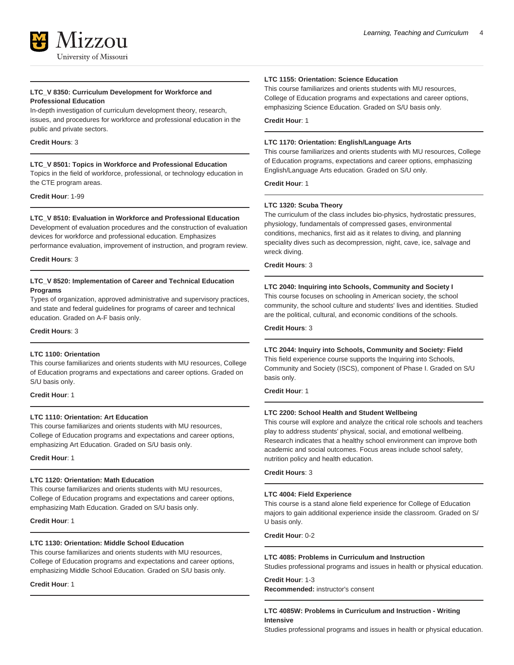

#### **LTC\_V 8350: Curriculum Development for Workforce and Professional Education**

In-depth investigation of curriculum development theory, research, issues, and procedures for workforce and professional education in the public and private sectors.

#### **Credit Hours**: 3

# **LTC\_V 8501: Topics in Workforce and Professional Education**

Topics in the field of workforce, professional, or technology education in the CTE program areas.

**Credit Hour**: 1-99

#### **LTC\_V 8510: Evaluation in Workforce and Professional Education**

Development of evaluation procedures and the construction of evaluation devices for workforce and professional education. Emphasizes performance evaluation, improvement of instruction, and program review.

**Credit Hours**: 3

# **LTC\_V 8520: Implementation of Career and Technical Education Programs**

Types of organization, approved administrative and supervisory practices, and state and federal guidelines for programs of career and technical education. Graded on A-F basis only.

#### **Credit Hours**: 3

#### **LTC 1100: Orientation**

This course familiarizes and orients students with MU resources, College of Education programs and expectations and career options. Graded on S/U basis only.

**Credit Hour**: 1

# **LTC 1110: Orientation: Art Education**

This course familiarizes and orients students with MU resources, College of Education programs and expectations and career options, emphasizing Art Education. Graded on S/U basis only.

**Credit Hour**: 1

#### **LTC 1120: Orientation: Math Education**

This course familiarizes and orients students with MU resources, College of Education programs and expectations and career options, emphasizing Math Education. Graded on S/U basis only.

**Credit Hour**: 1

#### **LTC 1130: Orientation: Middle School Education**

This course familiarizes and orients students with MU resources, College of Education programs and expectations and career options, emphasizing Middle School Education. Graded on S/U basis only.

**Credit Hour**: 1

#### **LTC 1155: Orientation: Science Education**

This course familiarizes and orients students with MU resources, College of Education programs and expectations and career options, emphasizing Science Education. Graded on S/U basis only.

**Credit Hour**: 1

# **LTC 1170: Orientation: English/Language Arts**

This course familiarizes and orients students with MU resources, College of Education programs, expectations and career options, emphasizing English/Language Arts education. Graded on S/U only.

**Credit Hour**: 1

#### **LTC 1320: Scuba Theory**

The curriculum of the class includes bio-physics, hydrostatic pressures, physiology, fundamentals of compressed gases, environmental conditions, mechanics, first aid as it relates to diving, and planning speciality dives such as decompression, night, cave, ice, salvage and wreck diving.

#### **Credit Hours**: 3

#### **LTC 2040: Inquiring into Schools, Community and Society I**

This course focuses on schooling in American society, the school community, the school culture and students' lives and identities. Studied are the political, cultural, and economic conditions of the schools.

**Credit Hours**: 3

#### **LTC 2044: Inquiry into Schools, Community and Society: Field**

This field experience course supports the Inquiring into Schools, Community and Society (ISCS), component of Phase I. Graded on S/U basis only.

**Credit Hour**: 1

#### **LTC 2200: School Health and Student Wellbeing**

This course will explore and analyze the critical role schools and teachers play to address students' physical, social, and emotional wellbeing. Research indicates that a healthy school environment can improve both academic and social outcomes. Focus areas include school safety, nutrition policy and health education.

**Credit Hours**: 3

#### **LTC 4004: Field Experience**

This course is a stand alone field experience for College of Education majors to gain additional experience inside the classroom. Graded on S/ U basis only.

**Credit Hour**: 0-2

#### **LTC 4085: Problems in Curriculum and Instruction**

Studies professional programs and issues in health or physical education.

# **Credit Hour**: 1-3

**Recommended:** instructor's consent

# **LTC 4085W: Problems in Curriculum and Instruction - Writing Intensive**

Studies professional programs and issues in health or physical education.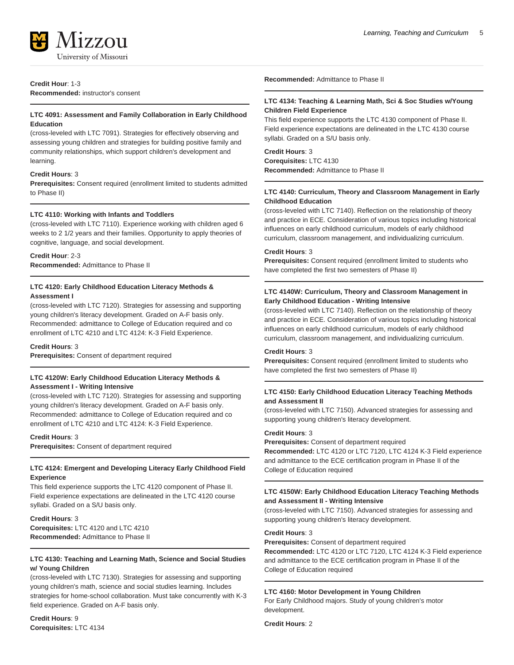# **Credit Hour**: 1-3

**Recommended:** instructor's consent

# **LTC 4091: Assessment and Family Collaboration in Early Childhood Education**

(cross-leveled with LTC 7091). Strategies for effectively observing and assessing young children and strategies for building positive family and community relationships, which support children's development and learning.

# **Credit Hours**: 3

**Prerequisites:** Consent required (enrollment limited to students admitted to Phase II)

#### **LTC 4110: Working with Infants and Toddlers**

(cross-leveled with LTC 7110). Experience working with children aged 6 weeks to 2 1/2 years and their families. Opportunity to apply theories of cognitive, language, and social development.

#### **Credit Hour**: 2-3

**Recommended:** Admittance to Phase II

# **LTC 4120: Early Childhood Education Literacy Methods & Assessment I**

(cross-leveled with LTC 7120). Strategies for assessing and supporting young children's literacy development. Graded on A-F basis only. Recommended: admittance to College of Education required and co enrollment of LTC 4210 and LTC 4124: K-3 Field Experience.

#### **Credit Hours**: 3

**Prerequisites:** Consent of department required

# **LTC 4120W: Early Childhood Education Literacy Methods & Assessment I - Writing Intensive**

(cross-leveled with LTC 7120). Strategies for assessing and supporting young children's literacy development. Graded on A-F basis only. Recommended: admittance to College of Education required and co enrollment of LTC 4210 and LTC 4124: K-3 Field Experience.

#### **Credit Hours**: 3

**Prerequisites:** Consent of department required

# **LTC 4124: Emergent and Developing Literacy Early Childhood Field Experience**

This field experience supports the LTC 4120 component of Phase II. Field experience expectations are delineated in the LTC 4120 course syllabi. Graded on a S/U basis only.

# **Credit Hours**: 3

**Corequisites:** LTC 4120 and LTC 4210 **Recommended:** Admittance to Phase II

# **LTC 4130: Teaching and Learning Math, Science and Social Studies w/ Young Children**

(cross-leveled with LTC 7130). Strategies for assessing and supporting young children's math, science and social studies learning. Includes strategies for home-school collaboration. Must take concurrently with K-3 field experience. Graded on A-F basis only.

**Credit Hours**: 9 **Corequisites:** LTC 4134 **Recommended:** Admittance to Phase II

#### **LTC 4134: Teaching & Learning Math, Sci & Soc Studies w/Young Children Field Experience**

This field experience supports the LTC 4130 component of Phase II. Field experience expectations are delineated in the LTC 4130 course syllabi. Graded on a S/U basis only.

# **Credit Hours**: 3

**Corequisites:** LTC 4130 **Recommended:** Admittance to Phase II

#### **LTC 4140: Curriculum, Theory and Classroom Management in Early Childhood Education**

(cross-leveled with LTC 7140). Reflection on the relationship of theory and practice in ECE. Consideration of various topics including historical influences on early childhood curriculum, models of early childhood curriculum, classroom management, and individualizing curriculum.

#### **Credit Hours**: 3

**Prerequisites:** Consent required (enrollment limited to students who have completed the first two semesters of Phase II)

# **LTC 4140W: Curriculum, Theory and Classroom Management in Early Childhood Education - Writing Intensive**

(cross-leveled with LTC 7140). Reflection on the relationship of theory and practice in ECE. Consideration of various topics including historical influences on early childhood curriculum, models of early childhood curriculum, classroom management, and individualizing curriculum.

#### **Credit Hours**: 3

**Prerequisites:** Consent required (enrollment limited to students who have completed the first two semesters of Phase II)

# **LTC 4150: Early Childhood Education Literacy Teaching Methods and Assessment II**

(cross-leveled with LTC 7150). Advanced strategies for assessing and supporting young children's literacy development.

#### **Credit Hours**: 3

**Prerequisites:** Consent of department required

**Recommended:** LTC 4120 or LTC 7120, LTC 4124 K-3 Field experience and admittance to the ECE certification program in Phase II of the College of Education required

#### **LTC 4150W: Early Childhood Education Literacy Teaching Methods and Assessment II - Writing Intensive**

(cross-leveled with LTC 7150). Advanced strategies for assessing and supporting young children's literacy development.

#### **Credit Hours**: 3

**Prerequisites:** Consent of department required

**Recommended:** LTC 4120 or LTC 7120, LTC 4124 K-3 Field experience and admittance to the ECE certification program in Phase II of the College of Education required

#### **LTC 4160: Motor Development in Young Children**

For Early Childhood majors. Study of young children's motor development.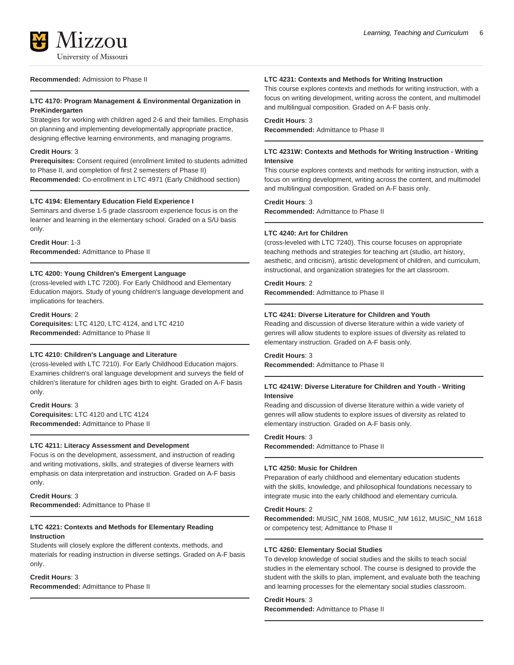

#### **Recommended:** Admission to Phase II

# **LTC 4170: Program Management & Environmental Organization in PreKindergarten**

Strategies for working with children aged 2-6 and their families. Emphasis on planning and implementing developmentally appropriate practice, designing effective learning environments, and managing programs.

#### **Credit Hours**: 3

**Prerequisites:** Consent required (enrollment limited to students admitted to Phase II, and completion of first 2 semesters of Phase II) **Recommended:** Co-enrollment in LTC 4971 (Early Childhood section)

#### **LTC 4194: Elementary Education Field Experience I**

Seminars and diverse 1-5 grade classroom experience focus is on the learner and learning in the elementary school. Graded on a S/U basis only.

**Credit Hour**: 1-3 **Recommended:** Admittance to Phase II

#### **LTC 4200: Young Children's Emergent Language**

(cross-leveled with LTC 7200). For Early Childhood and Elementary Education majors. Study of young children's language development and implications for teachers.

**Credit Hours**: 2 **Corequisites:** LTC 4120, LTC 4124, and LTC 4210 **Recommended:** Admittance to Phase II

# **LTC 4210: Children's Language and Literature**

(cross-leveled with LTC 7210). For Early Childhood Education majors. Examines children's oral language development and surveys the field of children's literature for children ages birth to eight. Graded on A-F basis only.

**Credit Hours**: 3 **Corequisites:** LTC 4120 and LTC 4124 **Recommended:** Admittance to Phase II

#### **LTC 4211: Literacy Assessment and Development**

Focus is on the development, assessment, and instruction of reading and writing motivations, skills, and strategies of diverse learners with emphasis on data interpretation and instruction. Graded on A-F basis only.

#### **Credit Hours**: 3 **Recommended:** Admittance to Phase II

#### **LTC 4221: Contexts and Methods for Elementary Reading Instruction**

Students will closely explore the different contexts, methods, and materials for reading instruction in diverse settings. Graded on A-F basis only.

# **Credit Hours**: 3

**Recommended:** Admittance to Phase II

#### **LTC 4231: Contexts and Methods for Writing Instruction**

This course explores contexts and methods for writing instruction, with a focus on writing development, writing across the content, and multimodel and multilingual composition. Graded on A-F basis only.

## **Credit Hours**: 3

**Recommended:** Admittance to Phase II

#### **LTC 4231W: Contexts and Methods for Writing Instruction - Writing Intensive**

This course explores contexts and methods for writing instruction, with a focus on writing development, writing across the content, and multimodel and multilingual composition. Graded on A-F basis only.

# **Credit Hours**: 3

**Recommended:** Admittance to Phase II

#### **LTC 4240: Art for Children**

(cross-leveled with LTC 7240). This course focuses on appropriate teaching methods and strategies for teaching art (studio, art history, aesthetic, and criticism), artistic development of children, and curriculum, instructional, and organization strategies for the art classroom.

#### **Credit Hours**: 2

**Recommended:** Admittance to Phase II

# **LTC 4241: Diverse Literature for Children and Youth**

Reading and discussion of diverse literature within a wide variety of genres will allow students to explore issues of diversity as related to elementary instruction. Graded on A-F basis only.

#### **Credit Hours**: 3

**Recommended:** Admittance to Phase II

# **LTC 4241W: Diverse Literature for Children and Youth - Writing Intensive**

Reading and discussion of diverse literature within a wide variety of genres will allow students to explore issues of diversity as related to elementary instruction. Graded on A-F basis only.

#### **Credit Hours**: 3

**Recommended:** Admittance to Phase II

#### **LTC 4250: Music for Children**

Preparation of early childhood and elementary education students with the skills, knowledge, and philosophical foundations necessary to integrate music into the early childhood and elementary curricula.

#### **Credit Hours**: 2

**Recommended:** MUSIC\_NM 1608, MUSIC\_NM 1612, MUSIC\_NM 1618 or competency test; Admittance to Phase II

#### **LTC 4260: Elementary Social Studies**

To develop knowledge of social studies and the skills to teach social studies in the elementary school. The course is designed to provide the student with the skills to plan, implement, and evaluate both the teaching and learning processes for the elementary social studies classroom.

# **Credit Hours**: 3

**Recommended:** Admittance to Phase II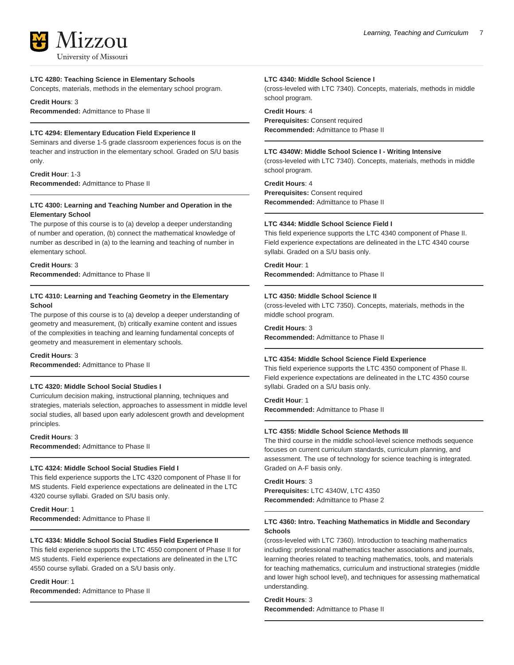# 17.7.011 University of Missouri

#### **LTC 4280: Teaching Science in Elementary Schools**

Concepts, materials, methods in the elementary school program.

**Credit Hours**: 3

**Recommended:** Admittance to Phase II

# **LTC 4294: Elementary Education Field Experience II**

Seminars and diverse 1-5 grade classroom experiences focus is on the teacher and instruction in the elementary school. Graded on S/U basis only.

**Credit Hour**: 1-3 **Recommended:** Admittance to Phase II

# **LTC 4300: Learning and Teaching Number and Operation in the Elementary School**

The purpose of this course is to (a) develop a deeper understanding of number and operation, (b) connect the mathematical knowledge of number as described in (a) to the learning and teaching of number in elementary school.

#### **Credit Hours**: 3 **Recommended:** Admittance to Phase II

# **LTC 4310: Learning and Teaching Geometry in the Elementary School**

The purpose of this course is to (a) develop a deeper understanding of geometry and measurement, (b) critically examine content and issues of the complexities in teaching and learning fundamental concepts of geometry and measurement in elementary schools.

#### **Credit Hours**: 3

**Recommended:** Admittance to Phase II

# **LTC 4320: Middle School Social Studies I**

Curriculum decision making, instructional planning, techniques and strategies, materials selection, approaches to assessment in middle level social studies, all based upon early adolescent growth and development principles.

**Credit Hours**: 3

# **Recommended:** Admittance to Phase II

#### **LTC 4324: Middle School Social Studies Field I**

This field experience supports the LTC 4320 component of Phase II for MS students. Field experience expectations are delineated in the LTC 4320 course syllabi. Graded on S/U basis only.

**Credit Hour**: 1 **Recommended:** Admittance to Phase II

# **LTC 4334: Middle School Social Studies Field Experience II**

This field experience supports the LTC 4550 component of Phase II for MS students. Field experience expectations are delineated in the LTC 4550 course syllabi. Graded on a S/U basis only.

#### **Credit Hour**: 1

**Recommended:** Admittance to Phase II

#### **LTC 4340: Middle School Science I**

(cross-leveled with LTC 7340). Concepts, materials, methods in middle school program.

# **Credit Hours**: 4

**Prerequisites:** Consent required **Recommended:** Admittance to Phase II

## **LTC 4340W: Middle School Science I - Writing Intensive**

(cross-leveled with LTC 7340). Concepts, materials, methods in middle school program.

#### **Credit Hours**: 4

**Prerequisites:** Consent required **Recommended:** Admittance to Phase II

#### **LTC 4344: Middle School Science Field I**

This field experience supports the LTC 4340 component of Phase II. Field experience expectations are delineated in the LTC 4340 course syllabi. Graded on a S/U basis only.

#### **Credit Hour**: 1

**Recommended:** Admittance to Phase II

# **LTC 4350: Middle School Science II**

(cross-leveled with LTC 7350). Concepts, materials, methods in the middle school program.

# **Credit Hours**: 3

**Recommended:** Admittance to Phase II

# **LTC 4354: Middle School Science Field Experience**

This field experience supports the LTC 4350 component of Phase II. Field experience expectations are delineated in the LTC 4350 course syllabi. Graded on a S/U basis only.

# **Credit Hour**: 1

**Recommended:** Admittance to Phase II

#### **LTC 4355: Middle School Science Methods III**

The third course in the middle school-level science methods sequence focuses on current curriculum standards, curriculum planning, and assessment. The use of technology for science teaching is integrated. Graded on A-F basis only.

# **Credit Hours**: 3

**Prerequisites:** LTC 4340W, LTC 4350 **Recommended:** Admittance to Phase 2

#### **LTC 4360: Intro. Teaching Mathematics in Middle and Secondary Schools**

(cross-leveled with LTC 7360). Introduction to teaching mathematics including: professional mathematics teacher associations and journals, learning theories related to teaching mathematics, tools, and materials for teaching mathematics, curriculum and instructional strategies (middle and lower high school level), and techniques for assessing mathematical understanding.

#### **Credit Hours**: 3 **Recommended:** Admittance to Phase II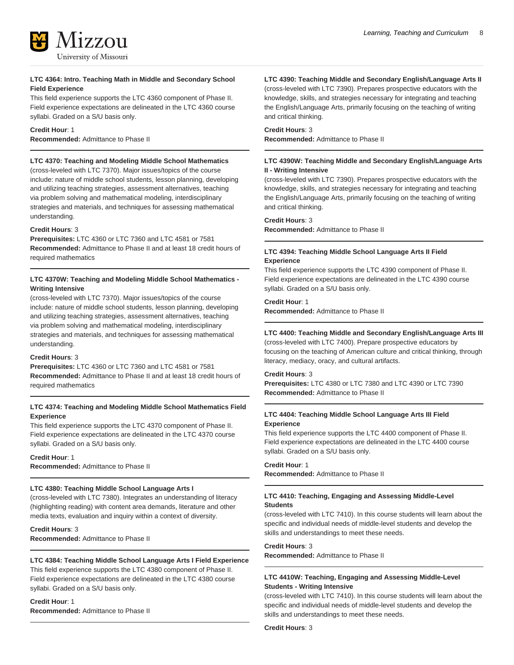

## **LTC 4364: Intro. Teaching Math in Middle and Secondary School Field Experience**

This field experience supports the LTC 4360 component of Phase II. Field experience expectations are delineated in the LTC 4360 course syllabi. Graded on a S/U basis only.

#### **Credit Hour**: 1

**Recommended:** Admittance to Phase II

# **LTC 4370: Teaching and Modeling Middle School Mathematics**

(cross-leveled with LTC 7370). Major issues/topics of the course include: nature of middle school students, lesson planning, developing and utilizing teaching strategies, assessment alternatives, teaching via problem solving and mathematical modeling, interdisciplinary strategies and materials, and techniques for assessing mathematical understanding.

#### **Credit Hours**: 3

**Prerequisites:** LTC 4360 or LTC 7360 and LTC 4581 or 7581 **Recommended:** Admittance to Phase II and at least 18 credit hours of required mathematics

# **LTC 4370W: Teaching and Modeling Middle School Mathematics - Writing Intensive**

(cross-leveled with LTC 7370). Major issues/topics of the course include: nature of middle school students, lesson planning, developing and utilizing teaching strategies, assessment alternatives, teaching via problem solving and mathematical modeling, interdisciplinary strategies and materials, and techniques for assessing mathematical understanding.

#### **Credit Hours**: 3

**Prerequisites:** LTC 4360 or LTC 7360 and LTC 4581 or 7581 **Recommended:** Admittance to Phase II and at least 18 credit hours of required mathematics

# **LTC 4374: Teaching and Modeling Middle School Mathematics Field Experience**

This field experience supports the LTC 4370 component of Phase II. Field experience expectations are delineated in the LTC 4370 course syllabi. Graded on a S/U basis only.

#### **Credit Hour**: 1

**Recommended:** Admittance to Phase II

#### **LTC 4380: Teaching Middle School Language Arts I**

(cross-leveled with LTC 7380). Integrates an understanding of literacy (highlighting reading) with content area demands, literature and other media texts, evaluation and inquiry within a context of diversity.

**Credit Hours**: 3 **Recommended:** Admittance to Phase II

# **LTC 4384: Teaching Middle School Language Arts I Field Experience**

This field experience supports the LTC 4380 component of Phase II. Field experience expectations are delineated in the LTC 4380 course syllabi. Graded on a S/U basis only.

**Credit Hour**: 1 **Recommended:** Admittance to Phase II **LTC 4390: Teaching Middle and Secondary English/Language Arts II**

(cross-leveled with LTC 7390). Prepares prospective educators with the knowledge, skills, and strategies necessary for integrating and teaching the English/Language Arts, primarily focusing on the teaching of writing and critical thinking.

#### **Credit Hours**: 3

**Recommended:** Admittance to Phase II

# **LTC 4390W: Teaching Middle and Secondary English/Language Arts II - Writing Intensive**

(cross-leveled with LTC 7390). Prepares prospective educators with the knowledge, skills, and strategies necessary for integrating and teaching the English/Language Arts, primarily focusing on the teaching of writing and critical thinking.

# **Credit Hours**: 3

**Recommended:** Admittance to Phase II

# **LTC 4394: Teaching Middle School Language Arts II Field Experience**

This field experience supports the LTC 4390 component of Phase II. Field experience expectations are delineated in the LTC 4390 course syllabi. Graded on a S/U basis only.

#### **Credit Hour**: 1

**Recommended:** Admittance to Phase II

# **LTC 4400: Teaching Middle and Secondary English/Language Arts III**

(cross-leveled with LTC 7400). Prepare prospective educators by focusing on the teaching of American culture and critical thinking, through literacy, mediacy, oracy, and cultural artifacts.

#### **Credit Hours**: 3

**Prerequisites:** LTC 4380 or LTC 7380 and LTC 4390 or LTC 7390 **Recommended:** Admittance to Phase II

# **LTC 4404: Teaching Middle School Language Arts III Field Experience**

This field experience supports the LTC 4400 component of Phase II. Field experience expectations are delineated in the LTC 4400 course syllabi. Graded on a S/U basis only.

#### **Credit Hour**: 1

**Recommended:** Admittance to Phase II

# **LTC 4410: Teaching, Engaging and Assessing Middle-Level Students**

(cross-leveled with LTC 7410). In this course students will learn about the specific and individual needs of middle-level students and develop the skills and understandings to meet these needs.

#### **Credit Hours**: 3

**Recommended:** Admittance to Phase II

# **LTC 4410W: Teaching, Engaging and Assessing Middle-Level Students - Writing Intensive**

(cross-leveled with LTC 7410). In this course students will learn about the specific and individual needs of middle-level students and develop the skills and understandings to meet these needs.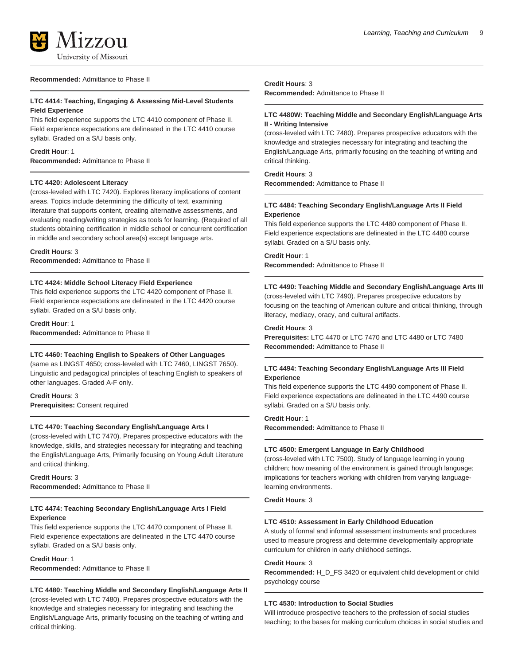#### **Recommended:** Admittance to Phase II

# **LTC 4414: Teaching, Engaging & Assessing Mid-Level Students Field Experience**

This field experience supports the LTC 4410 component of Phase II. Field experience expectations are delineated in the LTC 4410 course syllabi. Graded on a S/U basis only.

#### **Credit Hour**: 1

**Recommended:** Admittance to Phase II

#### **LTC 4420: Adolescent Literacy**

(cross-leveled with LTC 7420). Explores literacy implications of content areas. Topics include determining the difficulty of text, examining literature that supports content, creating alternative assessments, and evaluating reading/writing strategies as tools for learning. (Required of all students obtaining certification in middle school or concurrent certification in middle and secondary school area(s) except language arts.

#### **Credit Hours**: 3

**Recommended:** Admittance to Phase II

# **LTC 4424: Middle School Literacy Field Experience**

This field experience supports the LTC 4420 component of Phase II. Field experience expectations are delineated in the LTC 4420 course syllabi. Graded on a S/U basis only.

# **Credit Hour**: 1

**Recommended:** Admittance to Phase II

# **LTC 4460: Teaching English to Speakers of Other Languages**

(same as LINGST 4650; cross-leveled with LTC 7460, LINGST 7650). Linguistic and pedagogical principles of teaching English to speakers of other languages. Graded A-F only.

**Credit Hours**: 3 **Prerequisites:** Consent required

#### **LTC 4470: Teaching Secondary English/Language Arts I**

(cross-leveled with LTC 7470). Prepares prospective educators with the knowledge, skills, and strategies necessary for integrating and teaching the English/Language Arts, Primarily focusing on Young Adult Literature and critical thinking.

# **Credit Hours**: 3

**Recommended:** Admittance to Phase II

# **LTC 4474: Teaching Secondary English/Language Arts I Field Experience**

This field experience supports the LTC 4470 component of Phase II. Field experience expectations are delineated in the LTC 4470 course syllabi. Graded on a S/U basis only.

# **Credit Hour**: 1

**Recommended:** Admittance to Phase II

# **LTC 4480: Teaching Middle and Secondary English/Language Arts II**

(cross-leveled with LTC 7480). Prepares prospective educators with the knowledge and strategies necessary for integrating and teaching the English/Language Arts, primarily focusing on the teaching of writing and critical thinking.

#### **Credit Hours**: 3 **Recommended:** Admittance to Phase II

# **LTC 4480W: Teaching Middle and Secondary English/Language Arts II - Writing Intensive**

(cross-leveled with LTC 7480). Prepares prospective educators with the knowledge and strategies necessary for integrating and teaching the English/Language Arts, primarily focusing on the teaching of writing and critical thinking.

# **Credit Hours**: 3

**Recommended:** Admittance to Phase II

# **LTC 4484: Teaching Secondary English/Language Arts II Field Experience**

This field experience supports the LTC 4480 component of Phase II. Field experience expectations are delineated in the LTC 4480 course syllabi. Graded on a S/U basis only.

#### **Credit Hour**: 1

**Recommended:** Admittance to Phase II

# **LTC 4490: Teaching Middle and Secondary English/Language Arts III**

(cross-leveled with LTC 7490). Prepares prospective educators by focusing on the teaching of American culture and critical thinking, through literacy, mediacy, oracy, and cultural artifacts.

#### **Credit Hours**: 3

**Prerequisites:** LTC 4470 or LTC 7470 and LTC 4480 or LTC 7480 **Recommended:** Admittance to Phase II

# **LTC 4494: Teaching Secondary English/Language Arts III Field Experience**

This field experience supports the LTC 4490 component of Phase II. Field experience expectations are delineated in the LTC 4490 course syllabi. Graded on a S/U basis only.

#### **Credit Hour**: 1

**Recommended:** Admittance to Phase II

#### **LTC 4500: Emergent Language in Early Childhood**

(cross-leveled with LTC 7500). Study of language learning in young children; how meaning of the environment is gained through language; implications for teachers working with children from varying languagelearning environments.

# **Credit Hours**: 3

#### **LTC 4510: Assessment in Early Childhood Education**

A study of formal and informal assessment instruments and procedures used to measure progress and determine developmentally appropriate curriculum for children in early childhood settings.

#### **Credit Hours**: 3

**Recommended:** H\_D\_FS 3420 or equivalent child development or child psychology course

#### **LTC 4530: Introduction to Social Studies**

Will introduce prospective teachers to the profession of social studies teaching; to the bases for making curriculum choices in social studies and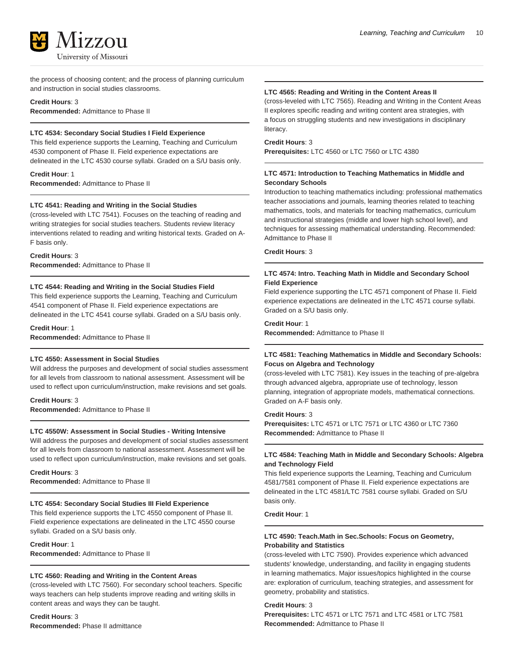the process of choosing content; and the process of planning curriculum and instruction in social studies classrooms.

**Credit Hours**: 3 **Recommended:** Admittance to Phase II

# **LTC 4534: Secondary Social Studies I Field Experience**

This field experience supports the Learning, Teaching and Curriculum 4530 component of Phase II. Field experience expectations are delineated in the LTC 4530 course syllabi. Graded on a S/U basis only.

**Credit Hour**: 1 **Recommended:** Admittance to Phase II

#### **LTC 4541: Reading and Writing in the Social Studies**

(cross-leveled with LTC 7541). Focuses on the teaching of reading and writing strategies for social studies teachers. Students review literacy interventions related to reading and writing historical texts. Graded on A-F basis only.

#### **Credit Hours**: 3

**Recommended:** Admittance to Phase II

### **LTC 4544: Reading and Writing in the Social Studies Field**

This field experience supports the Learning, Teaching and Curriculum 4541 component of Phase II. Field experience expectations are delineated in the LTC 4541 course syllabi. Graded on a S/U basis only.

#### **Credit Hour**: 1

**Recommended:** Admittance to Phase II

# **LTC 4550: Assessment in Social Studies**

Will address the purposes and development of social studies assessment for all levels from classroom to national assessment. Assessment will be used to reflect upon curriculum/instruction, make revisions and set goals.

#### **Credit Hours**: 3

**Recommended:** Admittance to Phase II

#### **LTC 4550W: Assessment in Social Studies - Writing Intensive**

Will address the purposes and development of social studies assessment for all levels from classroom to national assessment. Assessment will be used to reflect upon curriculum/instruction, make revisions and set goals.

**Credit Hours**: 3 **Recommended:** Admittance to Phase II

#### **LTC 4554: Secondary Social Studies III Field Experience**

This field experience supports the LTC 4550 component of Phase II. Field experience expectations are delineated in the LTC 4550 course syllabi. Graded on a S/U basis only.

**Credit Hour**: 1 **Recommended:** Admittance to Phase II

#### **LTC 4560: Reading and Writing in the Content Areas**

(cross-leveled with LTC 7560). For secondary school teachers. Specific ways teachers can help students improve reading and writing skills in content areas and ways they can be taught.

**Credit Hours**: 3 **Recommended:** Phase II admittance

# **LTC 4565: Reading and Writing in the Content Areas II**

(cross-leveled with LTC 7565). Reading and Writing in the Content Areas II explores specific reading and writing content area strategies, with a focus on struggling students and new investigations in disciplinary literacy.

#### **Credit Hours**: 3

**Prerequisites:** LTC 4560 or LTC 7560 or LTC 4380

### **LTC 4571: Introduction to Teaching Mathematics in Middle and Secondary Schools**

Introduction to teaching mathematics including: professional mathematics teacher associations and journals, learning theories related to teaching mathematics, tools, and materials for teaching mathematics, curriculum and instructional strategies (middle and lower high school level), and techniques for assessing mathematical understanding. Recommended: Admittance to Phase II

# **Credit Hours**: 3

# **LTC 4574: Intro. Teaching Math in Middle and Secondary School Field Experience**

Field experience supporting the LTC 4571 component of Phase II. Field experience expectations are delineated in the LTC 4571 course syllabi. Graded on a S/U basis only.

#### **Credit Hour**: 1

**Recommended:** Admittance to Phase II

# **LTC 4581: Teaching Mathematics in Middle and Secondary Schools: Focus on Algebra and Technology**

(cross-leveled with LTC 7581). Key issues in the teaching of pre-algebra through advanced algebra, appropriate use of technology, lesson planning, integration of appropriate models, mathematical connections. Graded on A-F basis only.

#### **Credit Hours**: 3

**Prerequisites:** LTC 4571 or LTC 7571 or LTC 4360 or LTC 7360 **Recommended:** Admittance to Phase II

# **LTC 4584: Teaching Math in Middle and Secondary Schools: Algebra and Technology Field**

This field experience supports the Learning, Teaching and Curriculum 4581/7581 component of Phase II. Field experience expectations are delineated in the LTC 4581/LTC 7581 course syllabi. Graded on S/U basis only.

### **Credit Hour**: 1

# **LTC 4590: Teach.Math in Sec.Schools: Focus on Geometry, Probability and Statistics**

(cross-leveled with LTC 7590). Provides experience which advanced students' knowledge, understanding, and facility in engaging students in learning mathematics. Major issues/topics highlighted in the course are: exploration of curriculum, teaching strategies, and assessment for geometry, probability and statistics.

# **Credit Hours**: 3

**Prerequisites:** LTC 4571 or LTC 7571 and LTC 4581 or LTC 7581 **Recommended:** Admittance to Phase II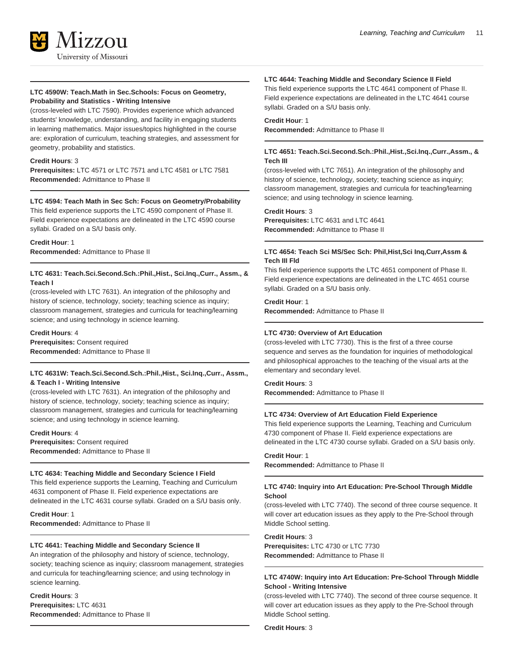

## **LTC 4590W: Teach.Math in Sec.Schools: Focus on Geometry, Probability and Statistics - Writing Intensive**

(cross-leveled with LTC 7590). Provides experience which advanced students' knowledge, understanding, and facility in engaging students in learning mathematics. Major issues/topics highlighted in the course are: exploration of curriculum, teaching strategies, and assessment for geometry, probability and statistics.

#### **Credit Hours**: 3

**Prerequisites:** LTC 4571 or LTC 7571 and LTC 4581 or LTC 7581 **Recommended:** Admittance to Phase II

#### **LTC 4594: Teach Math in Sec Sch: Focus on Geometry/Probability**

This field experience supports the LTC 4590 component of Phase II. Field experience expectations are delineated in the LTC 4590 course syllabi. Graded on a S/U basis only.

**Credit Hour**: 1 **Recommended:** Admittance to Phase II

# **LTC 4631: Teach.Sci.Second.Sch.:Phil.,Hist., Sci.Inq.,Curr., Assm., & Teach I**

(cross-leveled with LTC 7631). An integration of the philosophy and history of science, technology, society; teaching science as inquiry; classroom management, strategies and curricula for teaching/learning science; and using technology in science learning.

#### **Credit Hours**: 4

**Prerequisites:** Consent required **Recommended:** Admittance to Phase II

#### **LTC 4631W: Teach.Sci.Second.Sch.:Phil.,Hist., Sci.Inq.,Curr., Assm., & Teach I - Writing Intensive**

(cross-leveled with LTC 7631). An integration of the philosophy and history of science, technology, society; teaching science as inquiry; classroom management, strategies and curricula for teaching/learning science; and using technology in science learning.

**Credit Hours**: 4 **Prerequisites:** Consent required **Recommended:** Admittance to Phase II

#### **LTC 4634: Teaching Middle and Secondary Science I Field**

This field experience supports the Learning, Teaching and Curriculum 4631 component of Phase II. Field experience expectations are delineated in the LTC 4631 course syllabi. Graded on a S/U basis only.

**Credit Hour**: 1 **Recommended:** Admittance to Phase II

#### **LTC 4641: Teaching Middle and Secondary Science II**

An integration of the philosophy and history of science, technology, society; teaching science as inquiry; classroom management, strategies and curricula for teaching/learning science; and using technology in science learning.

# **Credit Hours**: 3 **Prerequisites:** LTC 4631 **Recommended:** Admittance to Phase II

#### **LTC 4644: Teaching Middle and Secondary Science II Field**

This field experience supports the LTC 4641 component of Phase II. Field experience expectations are delineated in the LTC 4641 course syllabi. Graded on a S/U basis only.

#### **Credit Hour**: 1

**Recommended:** Admittance to Phase II

#### **LTC 4651: Teach.Sci.Second.Sch.:Phil.,Hist.,Sci.Inq.,Curr.,Assm., & Tech III**

(cross-leveled with LTC 7651). An integration of the philosophy and history of science, technology, society; teaching science as inquiry; classroom management, strategies and curricula for teaching/learning science; and using technology in science learning.

#### **Credit Hours**: 3

**Prerequisites:** LTC 4631 and LTC 4641 **Recommended:** Admittance to Phase II

# **LTC 4654: Teach Sci MS/Sec Sch: Phil,Hist,Sci Inq,Curr,Assm & Tech III Fld**

This field experience supports the LTC 4651 component of Phase II. Field experience expectations are delineated in the LTC 4651 course syllabi. Graded on a S/U basis only.

**Credit Hour**: 1

**Recommended:** Admittance to Phase II

# **LTC 4730: Overview of Art Education**

(cross-leveled with LTC 7730). This is the first of a three course sequence and serves as the foundation for inquiries of methodological and philosophical approaches to the teaching of the visual arts at the elementary and secondary level.

# **Credit Hours**: 3

**Recommended:** Admittance to Phase II

# **LTC 4734: Overview of Art Education Field Experience**

This field experience supports the Learning, Teaching and Curriculum 4730 component of Phase II. Field experience expectations are delineated in the LTC 4730 course syllabi. Graded on a S/U basis only.

# **Credit Hour**: 1

**Recommended:** Admittance to Phase II

#### **LTC 4740: Inquiry into Art Education: Pre-School Through Middle School**

(cross-leveled with LTC 7740). The second of three course sequence. It will cover art education issues as they apply to the Pre-School through Middle School setting.

# **Credit Hours**: 3

**Prerequisites:** LTC 4730 or LTC 7730 **Recommended:** Admittance to Phase II

# **LTC 4740W: Inquiry into Art Education: Pre-School Through Middle School - Writing Intensive**

(cross-leveled with LTC 7740). The second of three course sequence. It will cover art education issues as they apply to the Pre-School through Middle School setting.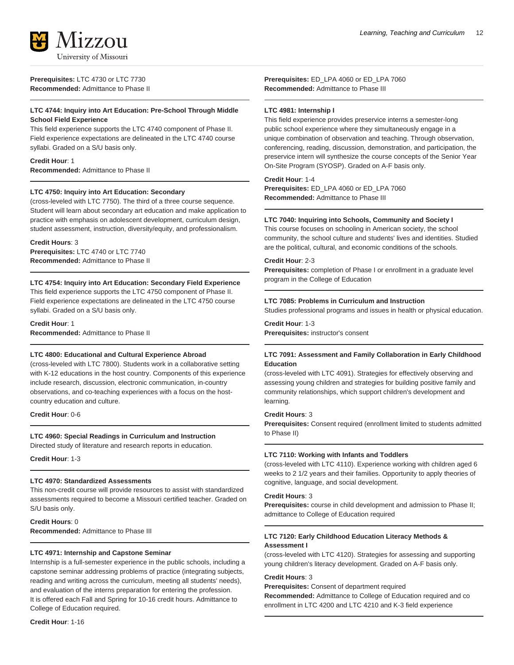

**Prerequisites:** LTC 4730 or LTC 7730 **Recommended:** Admittance to Phase II

# **LTC 4744: Inquiry into Art Education: Pre-School Through Middle School Field Experience**

This field experience supports the LTC 4740 component of Phase II. Field experience expectations are delineated in the LTC 4740 course syllabi. Graded on a S/U basis only.

# **Credit Hour**: 1

**Recommended:** Admittance to Phase II

# **LTC 4750: Inquiry into Art Education: Secondary**

(cross-leveled with LTC 7750). The third of a three course sequence. Student will learn about secondary art education and make application to practice with emphasis on adolescent development, curriculum design, student assessment, instruction, diversity/equity, and professionalism.

**Credit Hours**: 3 **Prerequisites:** LTC 4740 or LTC 7740 **Recommended:** Admittance to Phase II

# **LTC 4754: Inquiry into Art Education: Secondary Field Experience**

This field experience supports the LTC 4750 component of Phase II. Field experience expectations are delineated in the LTC 4750 course syllabi. Graded on a S/U basis only.

**Credit Hour**: 1 **Recommended:** Admittance to Phase II

# **LTC 4800: Educational and Cultural Experience Abroad**

(cross-leveled with LTC 7800). Students work in a collaborative setting with K-12 educations in the host country. Components of this experience include research, discussion, electronic communication, in-country observations, and co-teaching experiences with a focus on the hostcountry education and culture.

**Credit Hour**: 0-6

# **LTC 4960: Special Readings in Curriculum and Instruction**

Directed study of literature and research reports in education.

**Credit Hour**: 1-3

#### **LTC 4970: Standardized Assessments**

This non-credit course will provide resources to assist with standardized assessments required to become a Missouri certified teacher. Graded on S/U basis only.

**Credit Hours**: 0 **Recommended:** Admittance to Phase III

# **LTC 4971: Internship and Capstone Seminar**

Internship is a full-semester experience in the public schools, including a capstone seminar addressing problems of practice (integrating subjects, reading and writing across the curriculum, meeting all students' needs), and evaluation of the interns preparation for entering the profession. It is offered each Fall and Spring for 10-16 credit hours. Admittance to College of Education required.

**Credit Hour**: 1-16

**Prerequisites:** ED\_LPA 4060 or ED\_LPA 7060 **Recommended:** Admittance to Phase III

# **LTC 4981: Internship I**

This field experience provides preservice interns a semester-long public school experience where they simultaneously engage in a unique combination of observation and teaching. Through observation, conferencing, reading, discussion, demonstration, and participation, the preservice intern will synthesize the course concepts of the Senior Year On-Site Program (SYOSP). Graded on A-F basis only.

#### **Credit Hour**: 1-4

**Prerequisites:** ED\_LPA 4060 or ED\_LPA 7060 **Recommended:** Admittance to Phase III

#### **LTC 7040: Inquiring into Schools, Community and Society I**

This course focuses on schooling in American society, the school community, the school culture and students' lives and identities. Studied are the political, cultural, and economic conditions of the schools.

#### **Credit Hour**: 2-3

**Prerequisites:** completion of Phase I or enrollment in a graduate level program in the College of Education

# **LTC 7085: Problems in Curriculum and Instruction**

Studies professional programs and issues in health or physical education.

# **Credit Hour**: 1-3

**Prerequisites:** instructor's consent

# **LTC 7091: Assessment and Family Collaboration in Early Childhood Education**

(cross-leveled with LTC 4091). Strategies for effectively observing and assessing young children and strategies for building positive family and community relationships, which support children's development and learning.

#### **Credit Hours**: 3

**Prerequisites:** Consent required (enrollment limited to students admitted to Phase II)

#### **LTC 7110: Working with Infants and Toddlers**

(cross-leveled with LTC 4110). Experience working with children aged 6 weeks to 2 1/2 years and their families. Opportunity to apply theories of cognitive, language, and social development.

#### **Credit Hours**: 3

**Prerequisites:** course in child development and admission to Phase II; admittance to College of Education required

# **LTC 7120: Early Childhood Education Literacy Methods & Assessment I**

(cross-leveled with LTC 4120). Strategies for assessing and supporting young children's literacy development. Graded on A-F basis only.

## **Credit Hours**: 3

**Prerequisites:** Consent of department required **Recommended:** Admittance to College of Education required and co enrollment in LTC 4200 and LTC 4210 and K-3 field experience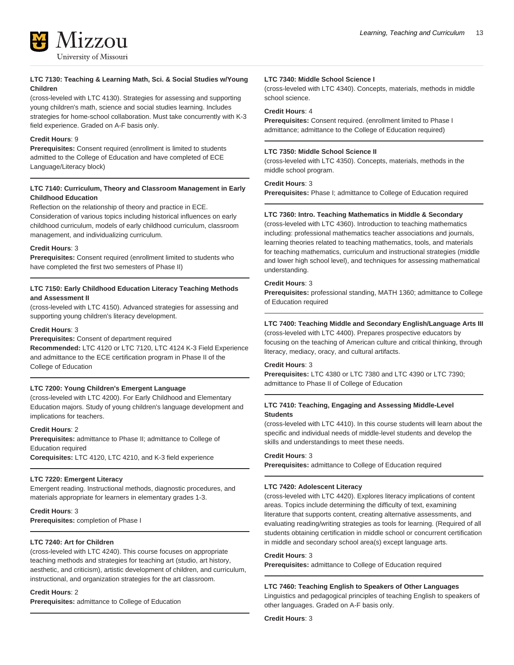

# **LTC 7130: Teaching & Learning Math, Sci. & Social Studies w/Young Children**

(cross-leveled with LTC 4130). Strategies for assessing and supporting young children's math, science and social studies learning. Includes strategies for home-school collaboration. Must take concurrently with K-3 field experience. Graded on A-F basis only.

# **Credit Hours**: 9

**Prerequisites:** Consent required (enrollment is limited to students admitted to the College of Education and have completed of ECE Language/Literacy block)

# **LTC 7140: Curriculum, Theory and Classroom Management in Early Childhood Education**

Reflection on the relationship of theory and practice in ECE. Consideration of various topics including historical influences on early childhood curriculum, models of early childhood curriculum, classroom management, and individualizing curriculum.

# **Credit Hours**: 3

**Prerequisites:** Consent required (enrollment limited to students who have completed the first two semesters of Phase II)

# **LTC 7150: Early Childhood Education Literacy Teaching Methods and Assessment II**

(cross-leveled with LTC 4150). Advanced strategies for assessing and supporting young children's literacy development.

# **Credit Hours**: 3

# **Prerequisites:** Consent of department required

**Recommended:** LTC 4120 or LTC 7120, LTC 4124 K-3 Field Experience and admittance to the ECE certification program in Phase II of the College of Education

# **LTC 7200: Young Children's Emergent Language**

(cross-leveled with LTC 4200). For Early Childhood and Elementary Education majors. Study of young children's language development and implications for teachers.

#### **Credit Hours**: 2

**Prerequisites:** admittance to Phase II; admittance to College of Education required **Corequisites:** LTC 4120, LTC 4210, and K-3 field experience

# **LTC 7220: Emergent Literacy**

Emergent reading. Instructional methods, diagnostic procedures, and materials appropriate for learners in elementary grades 1-3.

# **Credit Hours**: 3

**Prerequisites:** completion of Phase I

# **LTC 7240: Art for Children**

(cross-leveled with LTC 4240). This course focuses on appropriate teaching methods and strategies for teaching art (studio, art history, aesthetic, and criticism), artistic development of children, and curriculum, instructional, and organization strategies for the art classroom.

#### **Credit Hours**: 2

**Prerequisites:** admittance to College of Education

#### **LTC 7340: Middle School Science I**

(cross-leveled with LTC 4340). Concepts, materials, methods in middle school science.

# **Credit Hours**: 4

**Prerequisites:** Consent required. (enrollment limited to Phase I admittance; admittance to the College of Education required)

# **LTC 7350: Middle School Science II**

(cross-leveled with LTC 4350). Concepts, materials, methods in the middle school program.

#### **Credit Hours**: 3

**Prerequisites:** Phase I; admittance to College of Education required

# **LTC 7360: Intro. Teaching Mathematics in Middle & Secondary**

(cross-leveled with LTC 4360). Introduction to teaching mathematics including: professional mathematics teacher associations and journals, learning theories related to teaching mathematics, tools, and materials for teaching mathematics, curriculum and instructional strategies (middle and lower high school level), and techniques for assessing mathematical understanding.

# **Credit Hours**: 3

**Prerequisites:** professional standing, MATH 1360; admittance to College of Education required

# **LTC 7400: Teaching Middle and Secondary English/Language Arts III**

(cross-leveled with LTC 4400). Prepares prospective educators by focusing on the teaching of American culture and critical thinking, through literacy, mediacy, oracy, and cultural artifacts.

# **Credit Hours**: 3

**Prerequisites:** LTC 4380 or LTC 7380 and LTC 4390 or LTC 7390; admittance to Phase II of College of Education

# **LTC 7410: Teaching, Engaging and Assessing Middle-Level Students**

(cross-leveled with LTC 4410). In this course students will learn about the specific and individual needs of middle-level students and develop the skills and understandings to meet these needs.

#### **Credit Hours**: 3

**Prerequisites:** admittance to College of Education required

#### **LTC 7420: Adolescent Literacy**

(cross-leveled with LTC 4420). Explores literacy implications of content areas. Topics include determining the difficulty of text, examining literature that supports content, creating alternative assessments, and evaluating reading/writing strategies as tools for learning. (Required of all students obtaining certification in middle school or concurrent certification in middle and secondary school area(s) except language arts.

#### **Credit Hours**: 3

**Prerequisites:** admittance to College of Education required

#### **LTC 7460: Teaching English to Speakers of Other Languages**

Linguistics and pedagogical principles of teaching English to speakers of other languages. Graded on A-F basis only.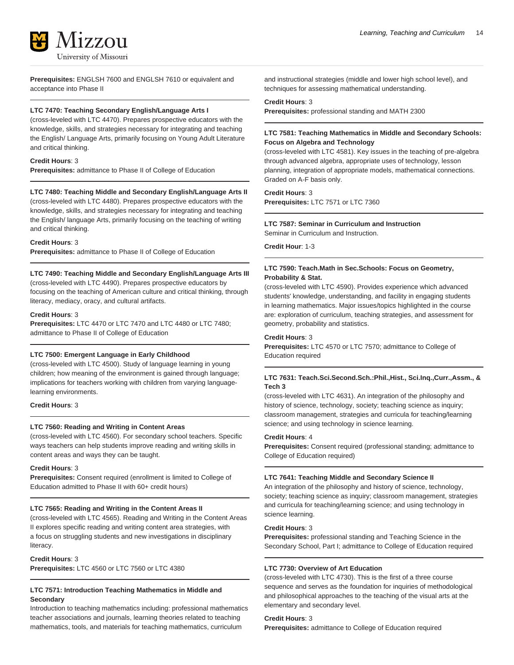

**Prerequisites:** ENGLSH 7600 and ENGLSH 7610 or equivalent and acceptance into Phase II

#### **LTC 7470: Teaching Secondary English/Language Arts I**

(cross-leveled with LTC 4470). Prepares prospective educators with the knowledge, skills, and strategies necessary for integrating and teaching the English/ Language Arts, primarily focusing on Young Adult Literature and critical thinking.

#### **Credit Hours**: 3

**Prerequisites:** admittance to Phase II of College of Education

#### **LTC 7480: Teaching Middle and Secondary English/Language Arts II**

(cross-leveled with LTC 4480). Prepares prospective educators with the knowledge, skills, and strategies necessary for integrating and teaching the English/ language Arts, primarily focusing on the teaching of writing and critical thinking.

#### **Credit Hours**: 3

**Prerequisites:** admittance to Phase II of College of Education

#### **LTC 7490: Teaching Middle and Secondary English/Language Arts III**

(cross-leveled with LTC 4490). Prepares prospective educators by focusing on the teaching of American culture and critical thinking, through literacy, mediacy, oracy, and cultural artifacts.

#### **Credit Hours**: 3

**Prerequisites:** LTC 4470 or LTC 7470 and LTC 4480 or LTC 7480; admittance to Phase II of College of Education

#### **LTC 7500: Emergent Language in Early Childhood**

(cross-leveled with LTC 4500). Study of language learning in young children; how meaning of the environment is gained through language; implications for teachers working with children from varying languagelearning environments.

#### **Credit Hours**: 3

#### **LTC 7560: Reading and Writing in Content Areas**

(cross-leveled with LTC 4560). For secondary school teachers. Specific ways teachers can help students improve reading and writing skills in content areas and ways they can be taught.

#### **Credit Hours**: 3

**Prerequisites:** Consent required (enrollment is limited to College of Education admitted to Phase II with 60+ credit hours)

# **LTC 7565: Reading and Writing in the Content Areas II**

(cross-leveled with LTC 4565). Reading and Writing in the Content Areas II explores specific reading and writing content area strategies, with a focus on struggling students and new investigations in disciplinary literacy.

#### **Credit Hours**: 3

**Prerequisites:** LTC 4560 or LTC 7560 or LTC 4380

# **LTC 7571: Introduction Teaching Mathematics in Middle and Secondary**

Introduction to teaching mathematics including: professional mathematics teacher associations and journals, learning theories related to teaching mathematics, tools, and materials for teaching mathematics, curriculum

and instructional strategies (middle and lower high school level), and techniques for assessing mathematical understanding.

#### **Credit Hours**: 3

**Prerequisites:** professional standing and MATH 2300

# **LTC 7581: Teaching Mathematics in Middle and Secondary Schools: Focus on Algebra and Technology**

(cross-leveled with LTC 4581). Key issues in the teaching of pre-algebra through advanced algebra, appropriate uses of technology, lesson planning, integration of appropriate models, mathematical connections. Graded on A-F basis only.

# **Credit Hours**: 3

**Prerequisites:** LTC 7571 or LTC 7360

#### **LTC 7587: Seminar in Curriculum and Instruction**

Seminar in Curriculum and Instruction.

**Credit Hour**: 1-3

#### **LTC 7590: Teach.Math in Sec.Schools: Focus on Geometry, Probability & Stat.**

(cross-leveled with LTC 4590). Provides experience which advanced students' knowledge, understanding, and facility in engaging students in learning mathematics. Major issues/topics highlighted in the course are: exploration of curriculum, teaching strategies, and assessment for geometry, probability and statistics.

#### **Credit Hours**: 3

**Prerequisites:** LTC 4570 or LTC 7570; admittance to College of Education required

#### **LTC 7631: Teach.Sci.Second.Sch.:Phil.,Hist., Sci.Inq.,Curr.,Assm., & Tech 3**

(cross-leveled with LTC 4631). An integration of the philosophy and history of science, technology, society; teaching science as inquiry; classroom management, strategies and curricula for teaching/learning science; and using technology in science learning.

#### **Credit Hours**: 4

**Prerequisites:** Consent required (professional standing; admittance to College of Education required)

#### **LTC 7641: Teaching Middle and Secondary Science II**

An integration of the philosophy and history of science, technology, society; teaching science as inquiry; classroom management, strategies and curricula for teaching/learning science; and using technology in science learning.

# **Credit Hours**: 3

**Prerequisites:** professional standing and Teaching Science in the Secondary School, Part I; admittance to College of Education required

# **LTC 7730: Overview of Art Education**

(cross-leveled with LTC 4730). This is the first of a three course sequence and serves as the foundation for inquiries of methodological and philosophical approaches to the teaching of the visual arts at the elementary and secondary level.

**Credit Hours**: 3

**Prerequisites:** admittance to College of Education required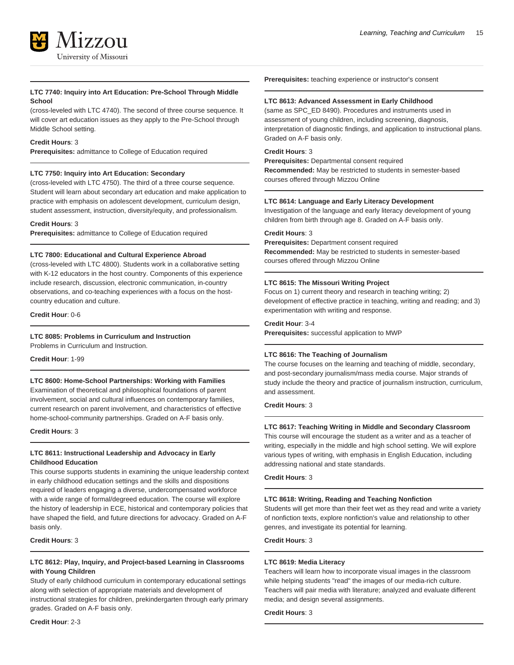

# **LTC 7740: Inquiry into Art Education: Pre-School Through Middle School**

(cross-leveled with LTC 4740). The second of three course sequence. It will cover art education issues as they apply to the Pre-School through Middle School setting.

#### **Credit Hours**: 3

**Prerequisites:** admittance to College of Education required

# **LTC 7750: Inquiry into Art Education: Secondary**

(cross-leveled with LTC 4750). The third of a three course sequence. Student will learn about secondary art education and make application to practice with emphasis on adolescent development, curriculum design, student assessment, instruction, diversity/equity, and professionalism.

#### **Credit Hours**: 3

**Prerequisites:** admittance to College of Education required

# **LTC 7800: Educational and Cultural Experience Abroad**

(cross-leveled with LTC 4800). Students work in a collaborative setting with K-12 educators in the host country. Components of this experience include research, discussion, electronic communication, in-country observations, and co-teaching experiences with a focus on the hostcountry education and culture.

**Credit Hour**: 0-6

# **LTC 8085: Problems in Curriculum and Instruction**

Problems in Curriculum and Instruction.

**Credit Hour**: 1-99

#### **LTC 8600: Home-School Partnerships: Working with Families**

Examination of theoretical and philosophical foundations of parent involvement, social and cultural influences on contemporary families, current research on parent involvement, and characteristics of effective home-school-community partnerships. Graded on A-F basis only.

#### **Credit Hours**: 3

# **LTC 8611: Instructional Leadership and Advocacy in Early Childhood Education**

This course supports students in examining the unique leadership context in early childhood education settings and the skills and dispositions required of leaders engaging a diverse, undercompensated workforce with a wide range of formal/degreed education. The course will explore the history of leadership in ECE, historical and contemporary policies that have shaped the field, and future directions for advocacy. Graded on A-F basis only.

#### **Credit Hours**: 3

# **LTC 8612: Play, Inquiry, and Project-based Learning in Classrooms with Young Children**

Study of early childhood curriculum in contemporary educational settings along with selection of appropriate materials and development of instructional strategies for children, prekindergarten through early primary grades. Graded on A-F basis only.

**Prerequisites:** teaching experience or instructor's consent

#### **LTC 8613: Advanced Assessment in Early Childhood**

(same as SPC\_ED 8490). Procedures and instruments used in assessment of young children, including screening, diagnosis, interpretation of diagnostic findings, and application to instructional plans. Graded on A-F basis only.

## **Credit Hours**: 3

**Prerequisites:** Departmental consent required **Recommended:** May be restricted to students in semester-based courses offered through Mizzou Online

#### **LTC 8614: Language and Early Literacy Development**

Investigation of the language and early literacy development of young children from birth through age 8. Graded on A-F basis only.

# **Credit Hours**: 3

**Prerequisites:** Department consent required **Recommended:** May be restricted to students in semester-based courses offered through Mizzou Online

# **LTC 8615: The Missouri Writing Project**

Focus on 1) current theory and research in teaching writing; 2) development of effective practice in teaching, writing and reading; and 3) experimentation with writing and response.

#### **Credit Hour**: 3-4

**Prerequisites:** successful application to MWP

# **LTC 8616: The Teaching of Journalism**

The course focuses on the learning and teaching of middle, secondary, and post-secondary journalism/mass media course. Major strands of study include the theory and practice of journalism instruction, curriculum, and assessment.

# **Credit Hours**: 3

#### **LTC 8617: Teaching Writing in Middle and Secondary Classroom**

This course will encourage the student as a writer and as a teacher of writing, especially in the middle and high school setting. We will explore various types of writing, with emphasis in English Education, including addressing national and state standards.

**Credit Hours**: 3

#### **LTC 8618: Writing, Reading and Teaching Nonfiction**

Students will get more than their feet wet as they read and write a variety of nonfiction texts, explore nonfiction's value and relationship to other genres, and investigate its potential for learning.

# **Credit Hours**: 3

#### **LTC 8619: Media Literacy**

Teachers will learn how to incorporate visual images in the classroom while helping students "read" the images of our media-rich culture. Teachers will pair media with literature; analyzed and evaluate different media; and design several assignments.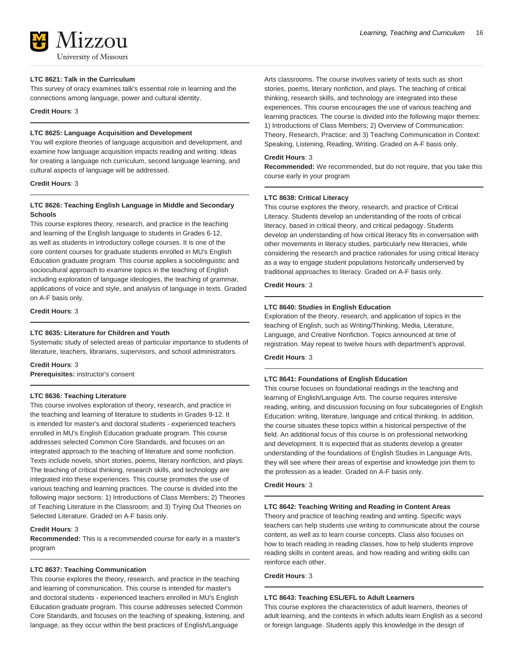#### **LTC 8621: Talk in the Curriculum**

This survey of oracy examines talk's essential role in learning and the connections among language, power and cultural identity.

#### **Credit Hours**: 3

#### **LTC 8625: Language Acquisition and Development**

You will explore theories of language acquisition and development, and examine how language acquisition impacts reading and writing. Ideas for creating a language rich curriculum, second language learning, and cultural aspects of language will be addressed.

#### **Credit Hours**: 3

# **LTC 8626: Teaching English Language in Middle and Secondary Schools**

This course explores theory, research, and practice in the teaching and learning of the English language to students in Grades 6-12, as well as students in introductory college courses. It is one of the core content courses for graduate students enrolled in MU's English Education graduate program. This course applies a sociolinguistic and sociocultural approach to examine topics in the teaching of English including exploration of language ideologies, the teaching of grammar, applications of voice and style, and analysis of language in texts. Graded on A-F basis only.

#### **Credit Hours**: 3

#### **LTC 8635: Literature for Children and Youth**

Systematic study of selected areas of particular importance to students of literature, teachers, librarians, supervisors, and school administrators.

#### **Credit Hours**: 3

**Prerequisites:** instructor's consent

#### **LTC 8636: Teaching Literature**

This course involves exploration of theory, research, and practice in the teaching and learning of literature to students in Grades 9-12. It is intended for master's and doctoral students - experienced teachers enrolled in MU's English Education graduate program. This course addresses selected Common Core Standards, and focuses on an integrated approach to the teaching of literature and some nonfiction. Texts include novels, short stories, poems, literary nonfiction, and plays. The teaching of critical thinking, research skills, and technology are integrated into these experiences. This course promotes the use of various teaching and learning practices. The course is divided into the following major sections: 1) Introductions of Class Members; 2) Theories of Teaching Literature in the Classroom; and 3) Trying Out Theories on Selected Literature. Graded on A-F basis only.

# **Credit Hours**: 3

**Recommended:** This is a recommended course for early in a master's program

#### **LTC 8637: Teaching Communication**

This course explores the theory, research, and practice in the teaching and learning of communication. This course is intended for master's and doctoral students - experienced teachers enrolled in MU's English Education graduate program. This course addresses selected Common Core Standards, and focuses on the teaching of speaking, listening, and language, as they occur within the best practices of English/Language

Arts classrooms. The course involves variety of texts such as short stories, poems, literary nonfiction, and plays. The teaching of critical thinking, research skills, and technology are integrated into these experiences. This course encourages the use of various teaching and learning practices. The course is divided into the following major themes: 1) Introductions of Class Members; 2) Overview of Communication: Theory, Research, Practice; and 3) Teaching Communication in Context: Speaking, Listening, Reading, Writing. Graded on A-F basis only.

#### **Credit Hours**: 3

**Recommended:** We recommended, but do not require, that you take this course early in your program

# **LTC 8638: Critical Literacy**

This course explores the theory, research, and practice of Critical Literacy. Students develop an understanding of the roots of critical literacy, based in critical theory, and critical pedagogy. Students develop an understanding of how critical literacy fits in conversation with other movements in literacy studies, particularly new literacies, while considering the research and practice rationales for using critical literacy as a way to engage student populations historically underserved by traditional approaches to literacy. Graded on A-F basis only.

#### **Credit Hours**: 3

#### **LTC 8640: Studies in English Education**

Exploration of the theory, research, and application of topics in the teaching of English, such as Writing/Thinking, Media, Literature, Language, and Creative Nonfiction. Topics announced at time of registration. May repeat to twelve hours with department's approval.

#### **Credit Hours**: 3

#### **LTC 8641: Foundations of English Education**

This course focuses on foundational readings in the teaching and learning of English/Language Arts. The course requires intensive reading, writing, and discussion focusing on four subcategories of English Education: writing, literature, language and critical thinking. In addition, the course situates these topics within a historical perspective of the field. An additional focus of this course is on professional networking and development. It is expected that as students develop a greater understanding of the foundations of English Studies in Language Arts, they will see where their areas of expertise and knowledge join them to the profession as a leader. Graded on A-F basis only.

#### **Credit Hours**: 3

#### **LTC 8642: Teaching Writing and Reading in Content Areas**

Theory and practice of teaching reading and writing. Specific ways teachers can help students use writing to communicate about the course content, as well as to learn course concepts. Class also focuses on how to teach reading in reading classes, how to help students improve reading skills in content areas, and how reading and writing skills can reinforce each other.

#### **Credit Hours**: 3

#### **LTC 8643: Teaching ESL/EFL to Adult Learners**

This course explores the characteristics of adult learners, theories of adult learning, and the contexts in which adults learn English as a second or foreign language. Students apply this knowledge in the design of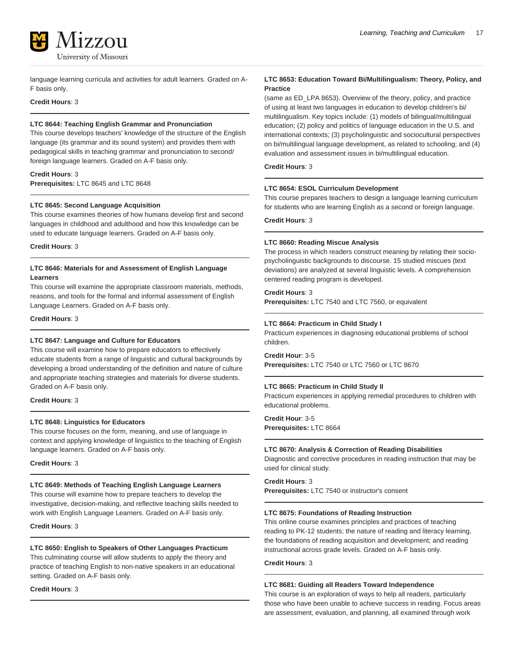

language learning curricula and activities for adult learners. Graded on A-F basis only.

# **Credit Hours**: 3

#### **LTC 8644: Teaching English Grammar and Pronunciation**

This course develops teachers' knowledge of the structure of the English language (its grammar and its sound system) and provides them with pedagogical skills in teaching grammar and pronunciation to second/ foreign language learners. Graded on A-F basis only.

# **Credit Hours**: 3

**Prerequisites:** LTC 8645 and LTC 8648

#### **LTC 8645: Second Language Acquisition**

This course examines theories of how humans develop first and second languages in childhood and adulthood and how this knowledge can be used to educate language learners. Graded on A-F basis only.

**Credit Hours**: 3

# **LTC 8646: Materials for and Assessment of English Language Learners**

This course will examine the appropriate classroom materials, methods, reasons, and tools for the formal and informal assessment of English Language Learners. Graded on A-F basis only.

#### **Credit Hours**: 3

#### **LTC 8647: Language and Culture for Educators**

This course will examine how to prepare educators to effectively educate students from a range of linguistic and cultural backgrounds by developing a broad understanding of the definition and nature of culture and appropriate teaching strategies and materials for diverse students. Graded on A-F basis only.

#### **Credit Hours**: 3

#### **LTC 8648: Linguistics for Educators**

This course focuses on the form, meaning, and use of language in context and applying knowledge of linguistics to the teaching of English language learners. Graded on A-F basis only.

**Credit Hours**: 3

# **LTC 8649: Methods of Teaching English Language Learners**

This course will examine how to prepare teachers to develop the investigative, decision-making, and reflective teaching skills needed to work with English Language Learners. Graded on A-F basis only.

**Credit Hours**: 3

# **LTC 8650: English to Speakers of Other Languages Practicum**

This culminating course will allow students to apply the theory and practice of teaching English to non-native speakers in an educational setting. Graded on A-F basis only.

#### **Credit Hours**: 3

**LTC 8653: Education Toward Bi/Multilingualism: Theory, Policy, and Practice**

(same as ED\_LPA 8653). Overview of the theory, policy, and practice of using at least two languages in education to develop children's bi/ multilingualism. Key topics include: (1) models of bilingual/multilingual education; (2) policy and politics of language education in the U.S. and international contexts; (3) psycholinguistic and sociocultural perspectives on bi/multilingual language development, as related to schooling; and (4) evaluation and assessment issues in bi/multilingual education.

# **Credit Hours**: 3

#### **LTC 8654: ESOL Curriculum Development**

This course prepares teachers to design a language learning curriculum for students who are learning English as a second or foreign language.

#### **Credit Hours**: 3

#### **LTC 8660: Reading Miscue Analysis**

The process in which readers construct meaning by relating their sociopsycholinguistic backgrounds to discourse. 15 studied miscues (text deviations) are analyzed at several linguistic levels. A comprehension centered reading program is developed.

#### **Credit Hours**: 3

**Prerequisites:** LTC 7540 and LTC 7560, or equivalent

#### **LTC 8664: Practicum in Child Study I**

Practicum experiences in diagnosing educational problems of school children.

#### **Credit Hour**: 3-5

**Prerequisites:** LTC 7540 or LTC 7560 or LTC 8670

#### **LTC 8665: Practicum in Child Study II**

Practicum experiences in applying remedial procedures to children with educational problems.

**Credit Hour**: 3-5 **Prerequisites:** LTC 8664

#### **LTC 8670: Analysis & Correction of Reading Disabilities**

Diagnostic and corrective procedures in reading instruction that may be used for clinical study.

# **Credit Hours**: 3

**Prerequisites:** LTC 7540 or instructor's consent

#### **LTC 8675: Foundations of Reading Instruction**

This online course examines principles and practices of teaching reading to PK-12 students; the nature of reading and literacy learning, the foundations of reading acquisition and development; and reading instructional across grade levels. Graded on A-F basis only.

#### **Credit Hours**: 3

#### **LTC 8681: Guiding all Readers Toward Independence**

This course is an exploration of ways to help all readers, particularly those who have been unable to achieve success in reading. Focus areas are assessment, evaluation, and planning, all examined through work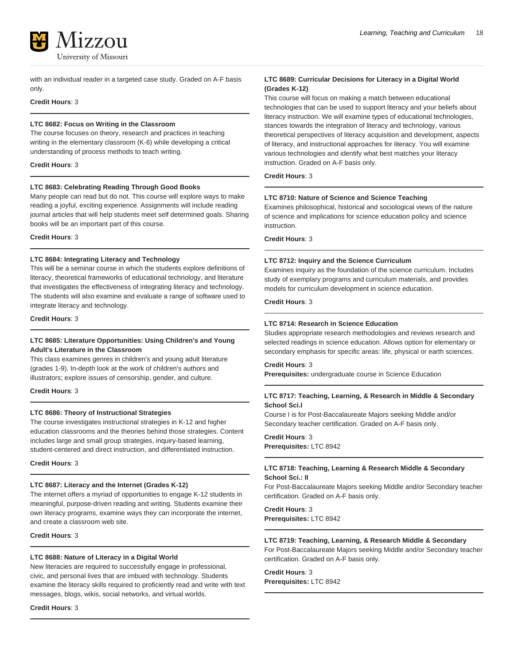

with an individual reader in a targeted case study. Graded on A-F basis only.

# **Credit Hours**: 3

#### **LTC 8682: Focus on Writing in the Classroom**

The course focuses on theory, research and practices in teaching writing in the elementary classroom (K-6) while developing a critical understanding of process methods to teach writing.

#### **Credit Hours**: 3

#### **LTC 8683: Celebrating Reading Through Good Books**

Many people can read but do not. This course will explore ways to make reading a joyful, exciting experience. Assignments will include reading journal articles that will help students meet self determined goals. Sharing books will be an important part of this course.

**Credit Hours**: 3

#### **LTC 8684: Integrating Literacy and Technology**

This will be a seminar course in which the students explore definitions of literacy, theoretical frameworks of educational technology, and literature that investigates the effectiveness of integrating literacy and technology. The students will also examine and evaluate a range of software used to integrate literacy and technology.

#### **Credit Hours**: 3

## **LTC 8685: Literature Opportunities: Using Children's and Young Adult's Literature in the Classroom**

This class examines genres in children's and young adult literature (grades 1-9). In-depth look at the work of children's authors and illustrators; explore issues of censorship, gender, and culture.

#### **Credit Hours**: 3

#### **LTC 8686: Theory of Instructional Strategies**

The course investigates instructional strategies in K-12 and higher education classrooms and the theories behind those strategies. Content includes large and small group strategies, inquiry-based learning, student-centered and direct instruction, and differentiated instruction.

**Credit Hours**: 3

#### **LTC 8687: Literacy and the Internet (Grades K-12)**

The internet offers a myriad of opportunities to engage K-12 students in meaningful, purpose-driven reading and writing. Students examine their own literacy programs, examine ways they can incorporate the internet, and create a classroom web site.

# **Credit Hours**: 3

#### **LTC 8688: Nature of Literacy in a Digital World**

New literacies are required to successfully engage in professional, civic, and personal lives that are imbued with technology. Students examine the literacy skills required to proficiently read and write with text messages, blogs, wikis, social networks, and virtual worlds.

#### **Credit Hours**: 3

#### **LTC 8689: Curricular Decisions for Literacy in a Digital World (Grades K-12)**

This course will focus on making a match between educational technologies that can be used to support literacy and your beliefs about literacy instruction. We will examine types of educational technologies, stances towards the integration of literacy and technology, various theoretical perspectives of literacy acquisition and development, aspects of literacy, and instructional approaches for literacy. You will examine various technologies and identify what best matches your literacy instruction. Graded on A-F basis only.

**Credit Hours**: 3

#### **LTC 8710: Nature of Science and Science Teaching**

Examines philosophical, historical and sociological views of the nature of science and implications for science education policy and science instruction.

**Credit Hours**: 3

#### **LTC 8712: Inquiry and the Science Curriculum**

Examines inquiry as the foundation of the science curriculum. Includes study of exemplary programs and curriculum materials, and provides models for curriculum development in science education.

**Credit Hours**: 3

#### **LTC 8714: Research in Science Education**

Studies appropriate research methodologies and reviews research and selected readings in science education. Allows option for elementary or secondary emphasis for specific areas: life, physical or earth sciences.

#### **Credit Hours**: 3

**Prerequisites:** undergraduate course in Science Education

#### **LTC 8717: Teaching, Learning, & Research in Middle & Secondary School Sci.I**

Course I is for Post-Baccalaureate Majors seeking Middle and/or Secondary teacher certification. Graded on A-F basis only.

**Credit Hours**: 3 **Prerequisites:** LTC 8942

# **LTC 8718: Teaching, Learning & Research Middle & Secondary School Sci.: II**

For Post-Baccalaureate Majors seeking Middle and/or Secondary teacher certification. Graded on A-F basis only.

**Credit Hours**: 3 **Prerequisites:** LTC 8942

# **LTC 8719: Teaching, Learning, & Research Middle & Secondary**

For Post-Baccalaureate Majors seeking Middle and/or Secondary teacher certification. Graded on A-F basis only.

**Credit Hours**: 3 **Prerequisites:** LTC 8942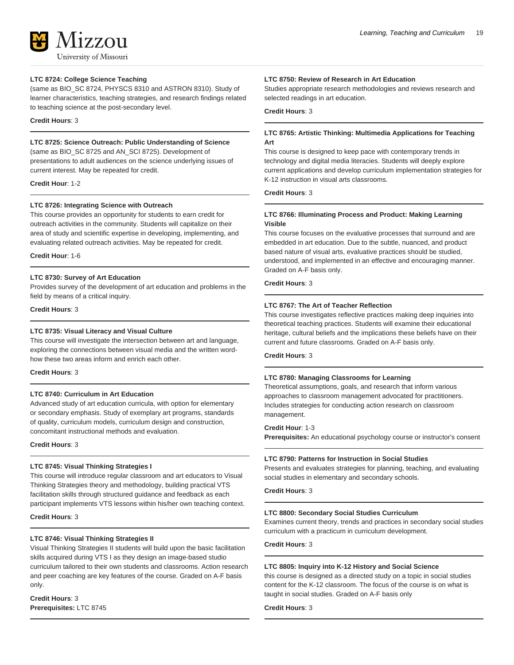# 17.7.011 University of Missouri

# **LTC 8724: College Science Teaching**

(same as BIO\_SC 8724, PHYSCS 8310 and ASTRON 8310). Study of learner characteristics, teaching strategies, and research findings related to teaching science at the post-secondary level.

# **Credit Hours**: 3

# **LTC 8725: Science Outreach: Public Understanding of Science**

(same as BIO\_SC 8725 and AN\_SCI 8725). Development of presentations to adult audiences on the science underlying issues of current interest. May be repeated for credit.

**Credit Hour**: 1-2

# **LTC 8726: Integrating Science with Outreach**

This course provides an opportunity for students to earn credit for outreach activities in the community. Students will capitalize on their area of study and scientific expertise in developing, implementing, and evaluating related outreach activities. May be repeated for credit.

**Credit Hour**: 1-6

# **LTC 8730: Survey of Art Education**

Provides survey of the development of art education and problems in the field by means of a critical inquiry.

**Credit Hours**: 3

# **LTC 8735: Visual Literacy and Visual Culture**

This course will investigate the intersection between art and language, exploring the connections between visual media and the written wordhow these two areas inform and enrich each other.

#### **Credit Hours**: 3

# **LTC 8740: Curriculum in Art Education**

Advanced study of art education curricula, with option for elementary or secondary emphasis. Study of exemplary art programs, standards of quality, curriculum models, curriculum design and construction, concomitant instructional methods and evaluation.

**Credit Hours**: 3

# **LTC 8745: Visual Thinking Strategies I**

This course will introduce regular classroom and art educators to Visual Thinking Strategies theory and methodology, building practical VTS facilitation skills through structured guidance and feedback as each participant implements VTS lessons within his/her own teaching context.

**Credit Hours**: 3

# **LTC 8746: Visual Thinking Strategies II**

Visual Thinking Strategies II students will build upon the basic facilitation skills acquired during VTS I as they design an image-based studio curriculum tailored to their own students and classrooms. Action research and peer coaching are key features of the course. Graded on A-F basis only.

**Credit Hours**: 3 **Prerequisites:** LTC 8745

# **LTC 8750: Review of Research in Art Education**

Studies appropriate research methodologies and reviews research and selected readings in art education.

# **Credit Hours**: 3

# **LTC 8765: Artistic Thinking: Multimedia Applications for Teaching Art**

This course is designed to keep pace with contemporary trends in technology and digital media literacies. Students will deeply explore current applications and develop curriculum implementation strategies for K-12 instruction in visual arts classrooms.

#### **Credit Hours**: 3

# **LTC 8766: Illuminating Process and Product: Making Learning Visible**

This course focuses on the evaluative processes that surround and are embedded in art education. Due to the subtle, nuanced, and product based nature of visual arts, evaluative practices should be studied, understood, and implemented in an effective and encouraging manner. Graded on A-F basis only.

**Credit Hours**: 3

# **LTC 8767: The Art of Teacher Reflection**

This course investigates reflective practices making deep inquiries into theoretical teaching practices. Students will examine their educational heritage, cultural beliefs and the implications these beliefs have on their current and future classrooms. Graded on A-F basis only.

# **Credit Hours**: 3

# **LTC 8780: Managing Classrooms for Learning**

Theoretical assumptions, goals, and research that inform various approaches to classroom management advocated for practitioners. Includes strategies for conducting action research on classroom management.

# **Credit Hour**: 1-3

**Prerequisites:** An educational psychology course or instructor's consent

#### **LTC 8790: Patterns for Instruction in Social Studies**

Presents and evaluates strategies for planning, teaching, and evaluating social studies in elementary and secondary schools.

**Credit Hours**: 3

#### **LTC 8800: Secondary Social Studies Curriculum**

Examines current theory, trends and practices in secondary social studies curriculum with a practicum in curriculum development.

**Credit Hours**: 3

#### **LTC 8805: Inquiry into K-12 History and Social Science**

this course is designed as a directed study on a topic in social studies content for the K-12 classroom. The focus of the course is on what is taught in social studies. Graded on A-F basis only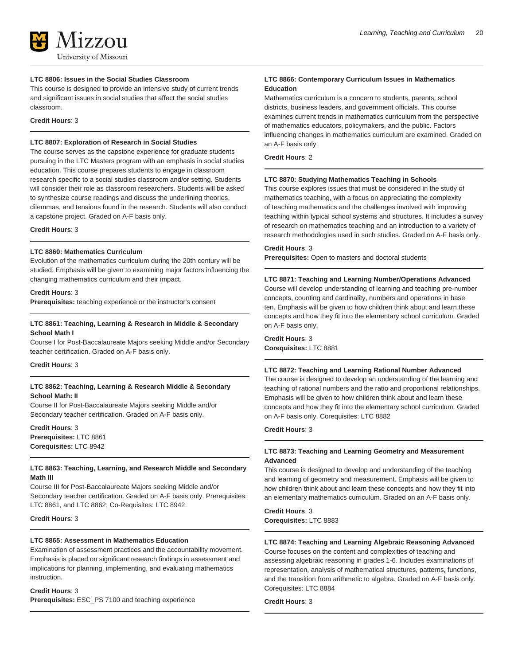#### **LTC 8806: Issues in the Social Studies Classroom**

This course is designed to provide an intensive study of current trends and significant issues in social studies that affect the social studies classroom.

**Credit Hours**: 3

# **LTC 8807: Exploration of Research in Social Studies**

The course serves as the capstone experience for graduate students pursuing in the LTC Masters program with an emphasis in social studies education. This course prepares students to engage in classroom research specific to a social studies classroom and/or setting. Students will consider their role as classroom researchers. Students will be asked to synthesize course readings and discuss the underlining theories, dilemmas, and tensions found in the research. Students will also conduct a capstone project. Graded on A-F basis only.

**Credit Hours**: 3

# **LTC 8860: Mathematics Curriculum**

Evolution of the mathematics curriculum during the 20th century will be studied. Emphasis will be given to examining major factors influencing the changing mathematics curriculum and their impact.

#### **Credit Hours**: 3

**Prerequisites:** teaching experience or the instructor's consent

# **LTC 8861: Teaching, Learning & Research in Middle & Secondary School Math I**

Course I for Post-Baccalaureate Majors seeking Middle and/or Secondary teacher certification. Graded on A-F basis only.

#### **Credit Hours**: 3

# **LTC 8862: Teaching, Learning & Research Middle & Secondary School Math: II**

Course II for Post-Baccalaureate Majors seeking Middle and/or Secondary teacher certification. Graded on A-F basis only.

**Credit Hours**: 3 **Prerequisites:** LTC 8861 **Corequisites:** LTC 8942

# **LTC 8863: Teaching, Learning, and Research Middle and Secondary Math III**

Course III for Post-Baccalaureate Majors seeking Middle and/or Secondary teacher certification. Graded on A-F basis only. Prerequisites: LTC 8861, and LTC 8862; Co-Requisites: LTC 8942.

#### **Credit Hours**: 3

#### **LTC 8865: Assessment in Mathematics Education**

Examination of assessment practices and the accountability movement. Emphasis is placed on significant research findings in assessment and implications for planning, implementing, and evaluating mathematics instruction.

# **Credit Hours**: 3

**Prerequisites:** ESC\_PS 7100 and teaching experience

# **LTC 8866: Contemporary Curriculum Issues in Mathematics Education**

Mathematics curriculum is a concern to students, parents, school districts, business leaders, and government officials. This course examines current trends in mathematics curriculum from the perspective of mathematics educators, policymakers, and the public. Factors influencing changes in mathematics curriculum are examined. Graded on an A-F basis only.

#### **Credit Hours**: 2

#### **LTC 8870: Studying Mathematics Teaching in Schools**

This course explores issues that must be considered in the study of mathematics teaching, with a focus on appreciating the complexity of teaching mathematics and the challenges involved with improving teaching within typical school systems and structures. It includes a survey of research on mathematics teaching and an introduction to a variety of research methodologies used in such studies. Graded on A-F basis only.

#### **Credit Hours**: 3

**Prerequisites:** Open to masters and doctoral students

#### **LTC 8871: Teaching and Learning Number/Operations Advanced**

Course will develop understanding of learning and teaching pre-number concepts, counting and cardinality, numbers and operations in base ten. Emphasis will be given to how children think about and learn these concepts and how they fit into the elementary school curriculum. Graded on A-F basis only.

**Credit Hours**: 3 **Corequisites:** LTC 8881

#### **LTC 8872: Teaching and Learning Rational Number Advanced**

The course is designed to develop an understanding of the learning and teaching of rational numbers and the ratio and proportional relationships. Emphasis will be given to how children think about and learn these concepts and how they fit into the elementary school curriculum. Graded on A-F basis only. Corequisites: LTC 8882

# **Credit Hours**: 3

# **LTC 8873: Teaching and Learning Geometry and Measurement Advanced**

This course is designed to develop and understanding of the teaching and learning of geometry and measurement. Emphasis will be given to how children think about and learn these concepts and how they fit into an elementary mathematics curriculum. Graded on an A-F basis only.

**Credit Hours**: 3 **Corequisites:** LTC 8883

# **LTC 8874: Teaching and Learning Algebraic Reasoning Advanced**

Course focuses on the content and complexities of teaching and assessing algebraic reasoning in grades 1-6. Includes examinations of representation, analysis of mathematical structures, patterns, functions, and the transition from arithmetic to algebra. Graded on A-F basis only. Corequisites: LTC 8884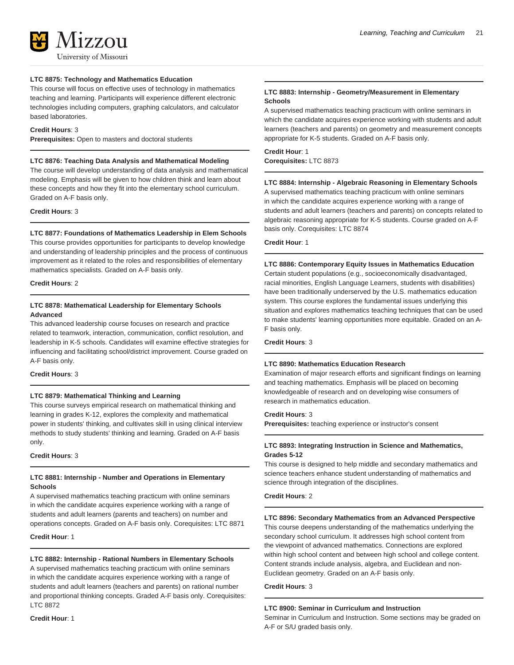# **LTC 8875: Technology and Mathematics Education**

This course will focus on effective uses of technology in mathematics teaching and learning. Participants will experience different electronic technologies including computers, graphing calculators, and calculator based laboratories.

#### **Credit Hours**: 3

**Prerequisites:** Open to masters and doctoral students

#### **LTC 8876: Teaching Data Analysis and Mathematical Modeling**

The course will develop understanding of data analysis and mathematical modeling. Emphasis will be given to how children think and learn about these concepts and how they fit into the elementary school curriculum. Graded on A-F basis only.

#### **Credit Hours**: 3

#### **LTC 8877: Foundations of Mathematics Leadership in Elem Schools**

This course provides opportunities for participants to develop knowledge and understanding of leadership principles and the process of continuous improvement as it related to the roles and responsibilities of elementary mathematics specialists. Graded on A-F basis only.

#### **Credit Hours**: 2

# **LTC 8878: Mathematical Leadership for Elementary Schools Advanced**

This advanced leadership course focuses on research and practice related to teamwork, interaction, communication, conflict resolution, and leadership in K-5 schools. Candidates will examine effective strategies for influencing and facilitating school/district improvement. Course graded on A-F basis only.

#### **Credit Hours**: 3

#### **LTC 8879: Mathematical Thinking and Learning**

This course surveys empirical research on mathematical thinking and learning in grades K-12, explores the complexity and mathematical power in students' thinking, and cultivates skill in using clinical interview methods to study students' thinking and learning. Graded on A-F basis only.

**Credit Hours**: 3

#### **LTC 8881: Internship - Number and Operations in Elementary Schools**

A supervised mathematics teaching practicum with online seminars in which the candidate acquires experience working with a range of students and adult learners (parents and teachers) on number and operations concepts. Graded on A-F basis only. Corequisites: LTC 8871

**Credit Hour**: 1

# **LTC 8882: Internship - Rational Numbers in Elementary Schools**

A supervised mathematics teaching practicum with online seminars in which the candidate acquires experience working with a range of students and adult learners (teachers and parents) on rational number and proportional thinking concepts. Graded A-F basis only. Corequisites: LTC 8872

#### **Credit Hour**: 1

# **LTC 8883: Internship - Geometry/Measurement in Elementary Schools**

A supervised mathematics teaching practicum with online seminars in which the candidate acquires experience working with students and adult learners (teachers and parents) on geometry and measurement concepts appropriate for K-5 students. Graded on A-F basis only.

#### **Credit Hour**: 1 **Corequisites:** LTC 8873

#### **LTC 8884: Internship - Algebraic Reasoning in Elementary Schools**

A supervised mathematics teaching practicum with online seminars in which the candidate acquires experience working with a range of students and adult learners (teachers and parents) on concepts related to algebraic reasoning appropriate for K-5 students. Course graded on A-F basis only. Corequisites: LTC 8874

# **Credit Hour**: 1

#### **LTC 8886: Contemporary Equity Issues in Mathematics Education**

Certain student populations (e.g., socioeconomically disadvantaged, racial minorities, English Language Learners, students with disabilities) have been traditionally underserved by the U.S. mathematics education system. This course explores the fundamental issues underlying this situation and explores mathematics teaching techniques that can be used to make students' learning opportunities more equitable. Graded on an A-F basis only.

# **Credit Hours**: 3

#### **LTC 8890: Mathematics Education Research**

Examination of major research efforts and significant findings on learning and teaching mathematics. Emphasis will be placed on becoming knowledgeable of research and on developing wise consumers of research in mathematics education.

# **Credit Hours**: 3

**Prerequisites:** teaching experience or instructor's consent

## **LTC 8893: Integrating Instruction in Science and Mathematics, Grades 5-12**

This course is designed to help middle and secondary mathematics and science teachers enhance student understanding of mathematics and science through integration of the disciplines.

**Credit Hours**: 2

#### **LTC 8896: Secondary Mathematics from an Advanced Perspective**

This course deepens understanding of the mathematics underlying the secondary school curriculum. It addresses high school content from the viewpoint of advanced mathematics. Connections are explored within high school content and between high school and college content. Content strands include analysis, algebra, and Euclidean and non-Euclidean geometry. Graded on an A-F basis only.

#### **Credit Hours**: 3

#### **LTC 8900: Seminar in Curriculum and Instruction**

Seminar in Curriculum and Instruction. Some sections may be graded on A-F or S/U graded basis only.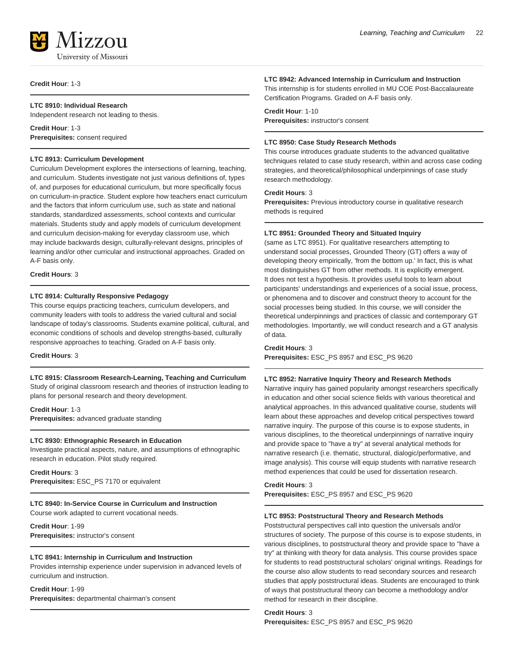

#### **Credit Hour**: 1-3

# **LTC 8910: Individual Research**

Independent research not leading to thesis.

**Credit Hour**: 1-3 **Prerequisites:** consent required

#### **LTC 8913: Curriculum Development**

Curriculum Development explores the intersections of learning, teaching, and curriculum. Students investigate not just various definitions of, types of, and purposes for educational curriculum, but more specifically focus on curriculum-in-practice. Student explore how teachers enact curriculum and the factors that inform curriculum use, such as state and national standards, standardized assessments, school contexts and curricular materials. Students study and apply models of curriculum development and curriculum decision-making for everyday classroom use, which may include backwards design, culturally-relevant designs, principles of learning and/or other curricular and instructional approaches. Graded on A-F basis only.

**Credit Hours**: 3

#### **LTC 8914: Culturally Responsive Pedagogy**

This course equips practicing teachers, curriculum developers, and community leaders with tools to address the varied cultural and social landscape of today's classrooms. Students examine political, cultural, and economic conditions of schools and develop strengths-based, culturally responsive approaches to teaching. Graded on A-F basis only.

**Credit Hours**: 3

# **LTC 8915: Classroom Research-Learning, Teaching and Curriculum**

Study of original classroom research and theories of instruction leading to plans for personal research and theory development.

**Credit Hour**: 1-3 **Prerequisites:** advanced graduate standing

#### **LTC 8930: Ethnographic Research in Education**

Investigate practical aspects, nature, and assumptions of ethnographic research in education. Pilot study required.

**Credit Hours**: 3 **Prerequisites:** ESC\_PS 7170 or equivalent

# **LTC 8940: In-Service Course in Curriculum and Instruction** Course work adapted to current vocational needs.

**Credit Hour**: 1-99

**Prerequisites:** instructor's consent

# **LTC 8941: Internship in Curriculum and Instruction**

Provides internship experience under supervision in advanced levels of curriculum and instruction.

#### **Credit Hour**: 1-99

**Prerequisites:** departmental chairman's consent

#### **LTC 8942: Advanced Internship in Curriculum and Instruction**

This internship is for students enrolled in MU COE Post-Baccalaureate Certification Programs. Graded on A-F basis only.

# **Credit Hour**: 1-10

**Prerequisites:** instructor's consent

# **LTC 8950: Case Study Research Methods**

This course introduces graduate students to the advanced qualitative techniques related to case study research, within and across case coding strategies, and theoretical/philosophical underpinnings of case study research methodology.

# **Credit Hours**: 3

**Prerequisites:** Previous introductory course in qualitative research methods is required

#### **LTC 8951: Grounded Theory and Situated Inquiry**

(same as LTC 8951). For qualitative researchers attempting to understand social processes, Grounded Theory (GT) offers a way of developing theory empirically, 'from the bottom up.' In fact, this is what most distinguishes GT from other methods. It is explicitly emergent. It does not test a hypothesis. It provides useful tools to learn about participants' understandings and experiences of a social issue, process, or phenomena and to discover and construct theory to account for the social processes being studied. In this course, we will consider the theoretical underpinnings and practices of classic and contemporary GT methodologies. Importantly, we will conduct research and a GT analysis of data.

#### **Credit Hours**: 3

**Prerequisites:** ESC\_PS 8957 and ESC\_PS 9620

# **LTC 8952: Narrative Inquiry Theory and Research Methods**

Narrative inquiry has gained popularity amongst researchers specifically in education and other social science fields with various theoretical and analytical approaches. In this advanced qualitative course, students will learn about these approaches and develop critical perspectives toward narrative inquiry. The purpose of this course is to expose students, in various disciplines, to the theoretical underpinnings of narrative inquiry and provide space to "have a try" at several analytical methods for narrative research (i.e. thematic, structural, dialogic/performative, and image analysis). This course will equip students with narrative research method experiences that could be used for dissertation research.

#### **Credit Hours**: 3

**Prerequisites:** ESC\_PS 8957 and ESC\_PS 9620

#### **LTC 8953: Poststructural Theory and Research Methods**

Poststructural perspectives call into question the universals and/or structures of society. The purpose of this course is to expose students, in various disciplines, to poststructural theory and provide space to "have a try" at thinking with theory for data analysis. This course provides space for students to read poststructural scholars' original writings. Readings for the course also allow students to read secondary sources and research studies that apply poststructural ideas. Students are encouraged to think of ways that poststructural theory can become a methodology and/or method for research in their discipline.

#### **Credit Hours**: 3 **Prerequisites:** ESC\_PS 8957 and ESC\_PS 9620